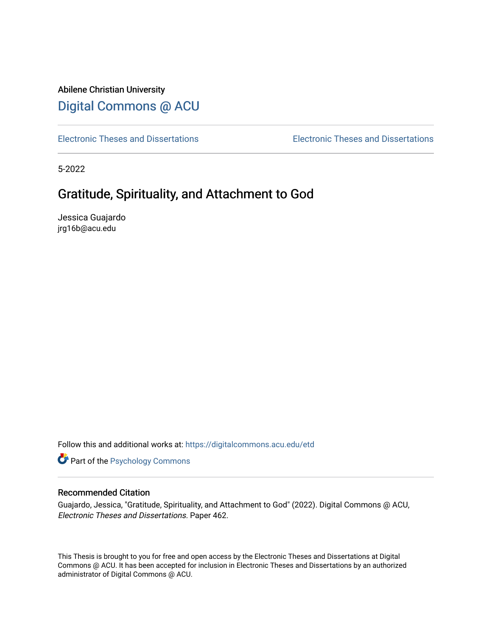# Abilene Christian University [Digital Commons @ ACU](https://digitalcommons.acu.edu/)

[Electronic Theses and Dissertations](https://digitalcommons.acu.edu/etd) [Electronic Theses and Dissertations](https://digitalcommons.acu.edu/graduate_works) 

5-2022

# Gratitude, Spirituality, and Attachment to God

Jessica Guajardo jrg16b@acu.edu

Follow this and additional works at: [https://digitalcommons.acu.edu/etd](https://digitalcommons.acu.edu/etd?utm_source=digitalcommons.acu.edu%2Fetd%2F462&utm_medium=PDF&utm_campaign=PDFCoverPages) 

**Part of the Psychology Commons** 

# Recommended Citation

Guajardo, Jessica, "Gratitude, Spirituality, and Attachment to God" (2022). Digital Commons @ ACU, Electronic Theses and Dissertations. Paper 462.

This Thesis is brought to you for free and open access by the Electronic Theses and Dissertations at Digital Commons @ ACU. It has been accepted for inclusion in Electronic Theses and Dissertations by an authorized administrator of Digital Commons @ ACU.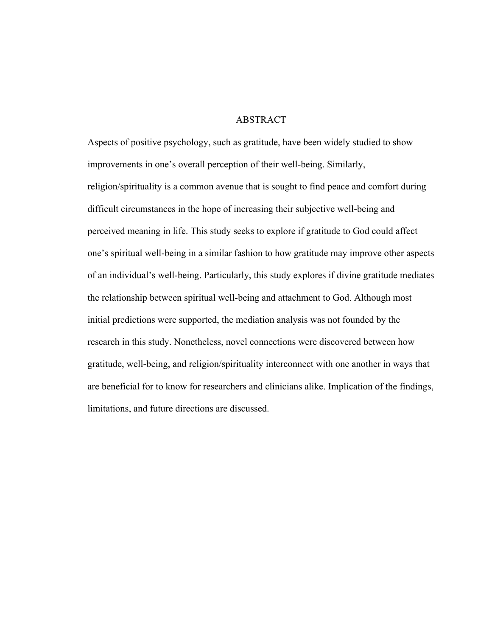## ABSTRACT

Aspects of positive psychology, such as gratitude, have been widely studied to show improvements in one's overall perception of their well-being. Similarly, religion/spirituality is a common avenue that is sought to find peace and comfort during difficult circumstances in the hope of increasing their subjective well-being and perceived meaning in life. This study seeks to explore if gratitude to God could affect one's spiritual well-being in a similar fashion to how gratitude may improve other aspects of an individual's well-being. Particularly, this study explores if divine gratitude mediates the relationship between spiritual well-being and attachment to God. Although most initial predictions were supported, the mediation analysis was not founded by the research in this study. Nonetheless, novel connections were discovered between how gratitude, well-being, and religion/spirituality interconnect with one another in ways that are beneficial for to know for researchers and clinicians alike. Implication of the findings, limitations, and future directions are discussed.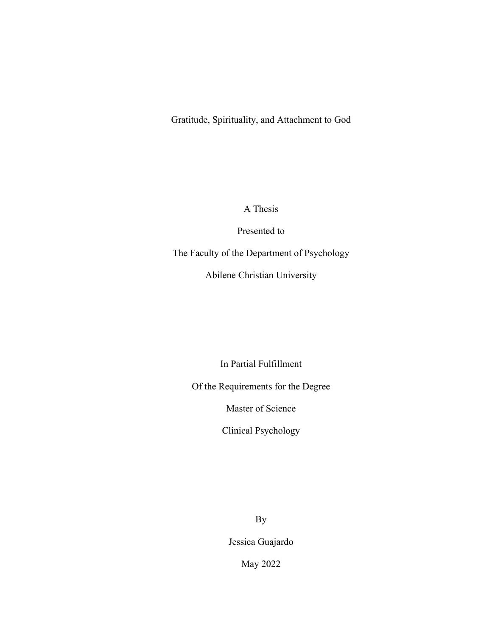Gratitude, Spirituality, and Attachment to God

A Thesis

Presented to

The Faculty of the Department of Psychology

Abilene Christian University

In Partial Fulfillment

Of the Requirements for the Degree

Master of Science

Clinical Psychology

By

Jessica Guajardo

May 2022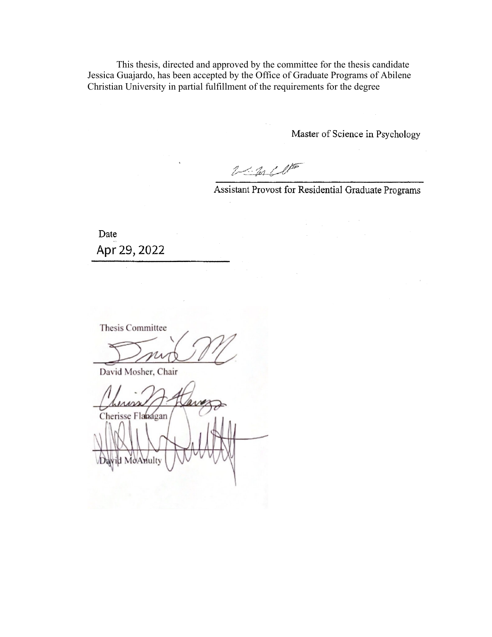This thesis, directed and approved by the committee for the thesis candidate Jessica Guajardo, has been accepted by the Office of Graduate Programs of Abilene Christian University in partial fulfillment of the requirements for the degree

Master of Science in Psychology

 $2 - 2n$ 

Assistant Provost for Residential Graduate Programs

Date Apr 29, 2022

Thesis Committee

David Mosher, Chair

Cherisse Flanagan id MoAnulty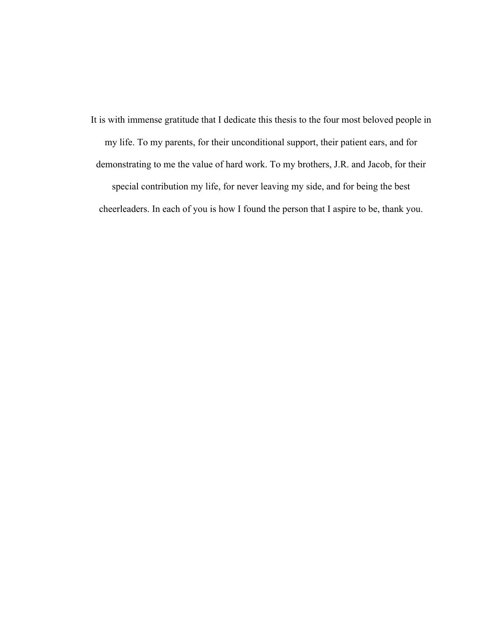It is with immense gratitude that I dedicate this thesis to the four most beloved people in my life. To my parents, for their unconditional support, their patient ears, and for demonstrating to me the value of hard work. To my brothers, J.R. and Jacob, for their special contribution my life, for never leaving my side, and for being the best cheerleaders. In each of you is how I found the person that I aspire to be, thank you.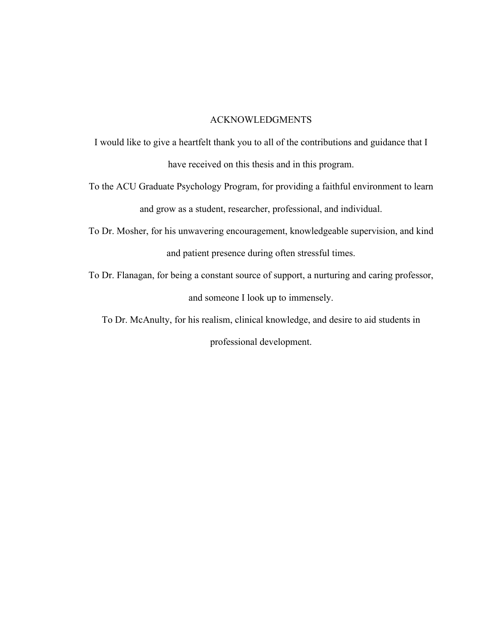## ACKNOWLEDGMENTS

I would like to give a heartfelt thank you to all of the contributions and guidance that I have received on this thesis and in this program.

To the ACU Graduate Psychology Program, for providing a faithful environment to learn and grow as a student, researcher, professional, and individual.

To Dr. Mosher, for his unwavering encouragement, knowledgeable supervision, and kind and patient presence during often stressful times.

To Dr. Flanagan, for being a constant source of support, a nurturing and caring professor, and someone I look up to immensely.

To Dr. McAnulty, for his realism, clinical knowledge, and desire to aid students in

professional development.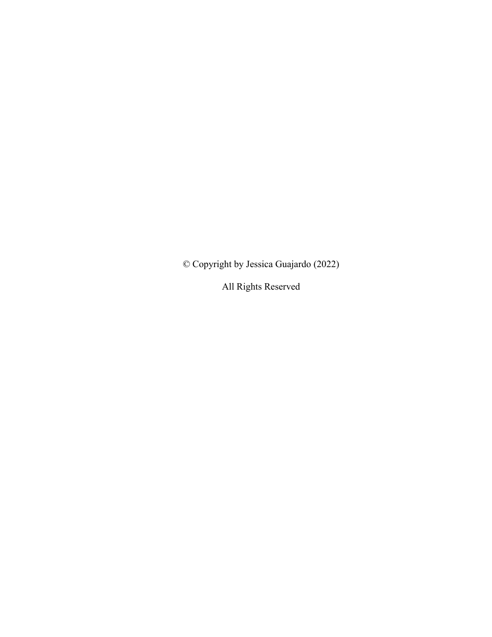© Copyright by Jessica Guajardo (2022)

All Rights Reserved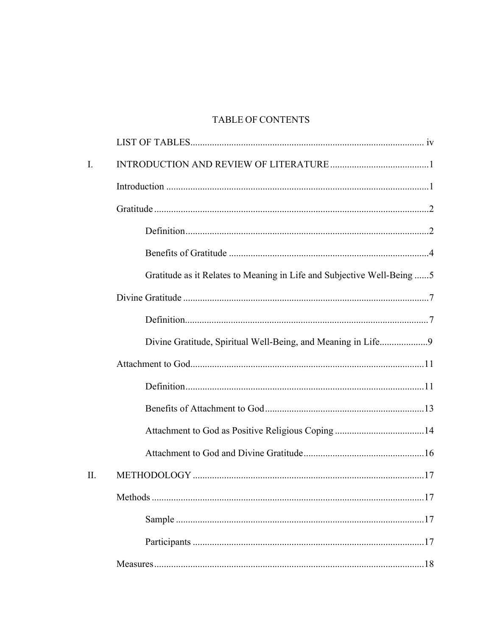# **TABLE OF CONTENTS**

| $\mathbf{I}$ . |                                                                         |
|----------------|-------------------------------------------------------------------------|
|                |                                                                         |
|                |                                                                         |
|                |                                                                         |
|                |                                                                         |
|                | Gratitude as it Relates to Meaning in Life and Subjective Well-Being  5 |
|                |                                                                         |
|                |                                                                         |
|                | Divine Gratitude, Spiritual Well-Being, and Meaning in Life9            |
|                |                                                                         |
|                |                                                                         |
|                |                                                                         |
|                |                                                                         |
|                |                                                                         |
| II.            |                                                                         |
|                | 17<br>Methods                                                           |
|                |                                                                         |
|                |                                                                         |
|                |                                                                         |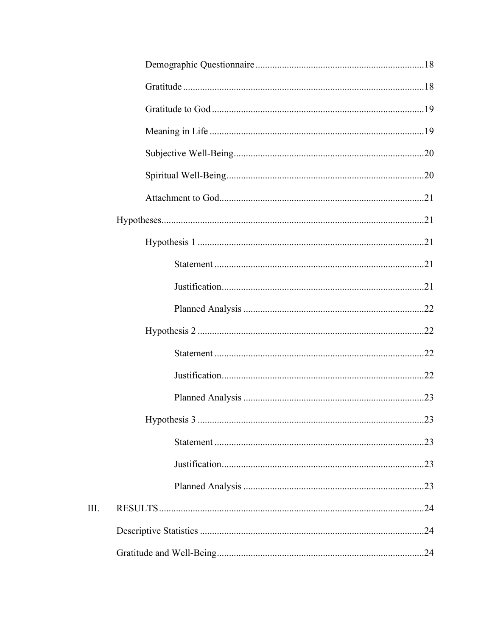$III.$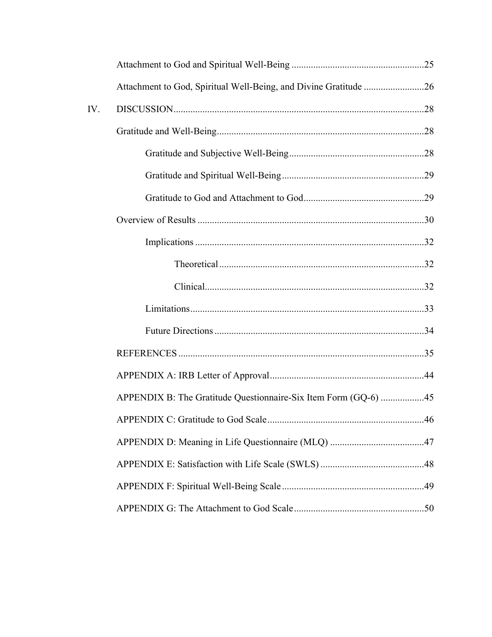|     | Attachment to God, Spiritual Well-Being, and Divine Gratitude 26 |  |
|-----|------------------------------------------------------------------|--|
| IV. |                                                                  |  |
|     |                                                                  |  |
|     |                                                                  |  |
|     |                                                                  |  |
|     |                                                                  |  |
|     |                                                                  |  |
|     |                                                                  |  |
|     |                                                                  |  |
|     |                                                                  |  |
|     |                                                                  |  |
|     |                                                                  |  |
|     |                                                                  |  |
|     |                                                                  |  |
|     | APPENDIX B: The Gratitude Questionnaire-Six Item Form (GQ-6) 45  |  |
|     |                                                                  |  |
|     |                                                                  |  |
|     |                                                                  |  |
|     |                                                                  |  |
|     |                                                                  |  |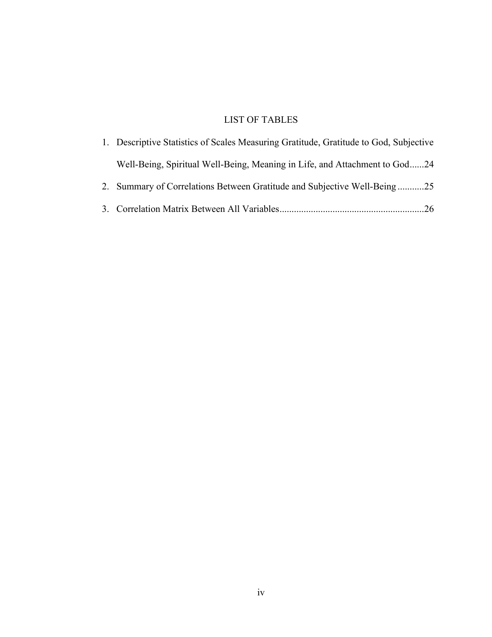# LIST OF TABLES

| 1. Descriptive Statistics of Scales Measuring Gratitude, Gratitude to God, Subjective |  |
|---------------------------------------------------------------------------------------|--|
| Well-Being, Spiritual Well-Being, Meaning in Life, and Attachment to God24            |  |
| 2. Summary of Correlations Between Gratitude and Subjective Well-Being25              |  |
|                                                                                       |  |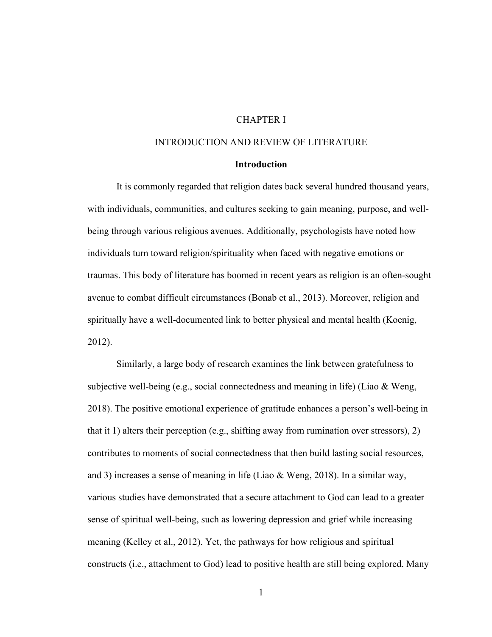# CHAPTER I

# INTRODUCTION AND REVIEW OF LITERATURE

## **Introduction**

It is commonly regarded that religion dates back several hundred thousand years, with individuals, communities, and cultures seeking to gain meaning, purpose, and wellbeing through various religious avenues. Additionally, psychologists have noted how individuals turn toward religion/spirituality when faced with negative emotions or traumas. This body of literature has boomed in recent years as religion is an often-sought avenue to combat difficult circumstances (Bonab et al., 2013). Moreover, religion and spiritually have a well-documented link to better physical and mental health (Koenig, 2012).

Similarly, a large body of research examines the link between gratefulness to subjective well-being (e.g., social connectedness and meaning in life) (Liao & Weng, 2018). The positive emotional experience of gratitude enhances a person's well-being in that it 1) alters their perception (e.g., shifting away from rumination over stressors), 2) contributes to moments of social connectedness that then build lasting social resources, and 3) increases a sense of meaning in life (Liao & Weng, 2018). In a similar way, various studies have demonstrated that a secure attachment to God can lead to a greater sense of spiritual well-being, such as lowering depression and grief while increasing meaning (Kelley et al., 2012). Yet, the pathways for how religious and spiritual constructs (i.e., attachment to God) lead to positive health are still being explored. Many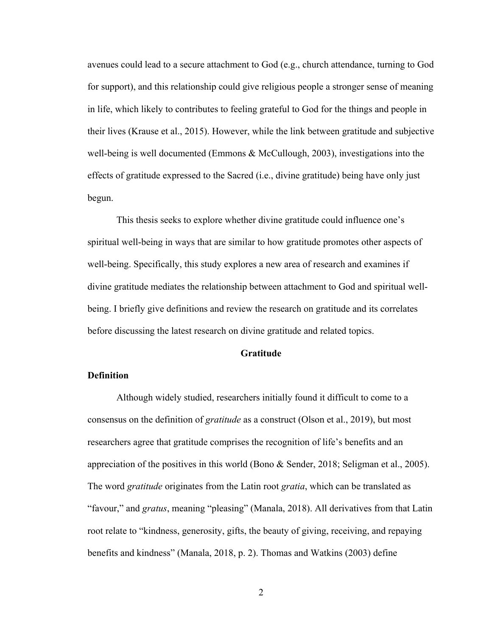avenues could lead to a secure attachment to God (e.g., church attendance, turning to God for support), and this relationship could give religious people a stronger sense of meaning in life, which likely to contributes to feeling grateful to God for the things and people in their lives (Krause et al., 2015). However, while the link between gratitude and subjective well-being is well documented (Emmons & McCullough, 2003), investigations into the effects of gratitude expressed to the Sacred (i.e., divine gratitude) being have only just begun.

This thesis seeks to explore whether divine gratitude could influence one's spiritual well-being in ways that are similar to how gratitude promotes other aspects of well-being. Specifically, this study explores a new area of research and examines if divine gratitude mediates the relationship between attachment to God and spiritual wellbeing. I briefly give definitions and review the research on gratitude and its correlates before discussing the latest research on divine gratitude and related topics.

## **Gratitude**

## **Definition**

Although widely studied, researchers initially found it difficult to come to a consensus on the definition of *gratitude* as a construct (Olson et al., 2019), but most researchers agree that gratitude comprises the recognition of life's benefits and an appreciation of the positives in this world (Bono & Sender, 2018; Seligman et al., 2005). The word *gratitude* originates from the Latin root *gratia*, which can be translated as "favour," and *gratus*, meaning "pleasing" (Manala, 2018). All derivatives from that Latin root relate to "kindness, generosity, gifts, the beauty of giving, receiving, and repaying benefits and kindness" (Manala, 2018, p. 2). Thomas and Watkins (2003) define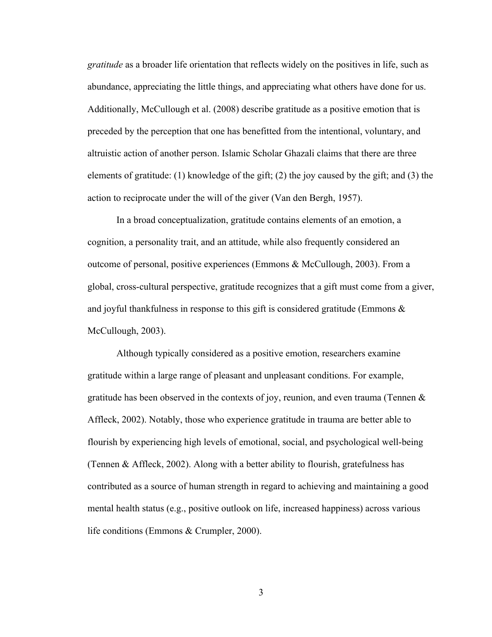*gratitude* as a broader life orientation that reflects widely on the positives in life, such as abundance, appreciating the little things, and appreciating what others have done for us. Additionally, McCullough et al. (2008) describe gratitude as a positive emotion that is preceded by the perception that one has benefitted from the intentional, voluntary, and altruistic action of another person. Islamic Scholar Ghazali claims that there are three elements of gratitude: (1) knowledge of the gift; (2) the joy caused by the gift; and (3) the action to reciprocate under the will of the giver (Van den Bergh, 1957).

In a broad conceptualization, gratitude contains elements of an emotion, a cognition, a personality trait, and an attitude, while also frequently considered an outcome of personal, positive experiences (Emmons & McCullough, 2003). From a global, cross-cultural perspective, gratitude recognizes that a gift must come from a giver, and joyful thankfulness in response to this gift is considered gratitude (Emmons  $\&$ McCullough, 2003).

Although typically considered as a positive emotion, researchers examine gratitude within a large range of pleasant and unpleasant conditions. For example, gratitude has been observed in the contexts of joy, reunion, and even trauma (Tennen & Affleck, 2002). Notably, those who experience gratitude in trauma are better able to flourish by experiencing high levels of emotional, social, and psychological well-being (Tennen & Affleck, 2002). Along with a better ability to flourish, gratefulness has contributed as a source of human strength in regard to achieving and maintaining a good mental health status (e.g., positive outlook on life, increased happiness) across various life conditions (Emmons & Crumpler, 2000).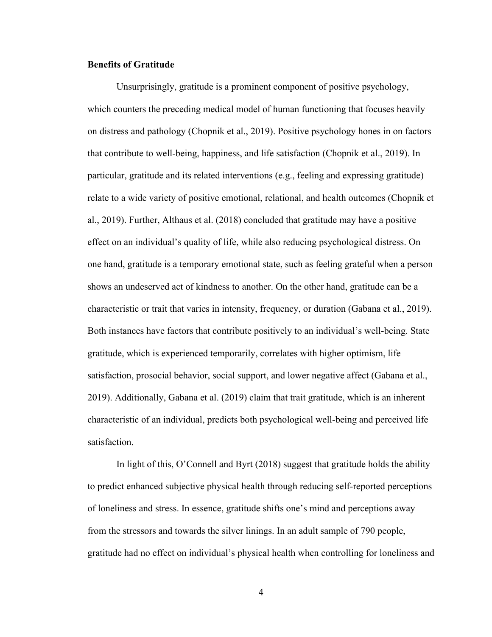#### **Benefits of Gratitude**

Unsurprisingly, gratitude is a prominent component of positive psychology, which counters the preceding medical model of human functioning that focuses heavily on distress and pathology (Chopnik et al., 2019). Positive psychology hones in on factors that contribute to well-being, happiness, and life satisfaction (Chopnik et al., 2019). In particular, gratitude and its related interventions (e.g., feeling and expressing gratitude) relate to a wide variety of positive emotional, relational, and health outcomes (Chopnik et al., 2019). Further, Althaus et al. (2018) concluded that gratitude may have a positive effect on an individual's quality of life, while also reducing psychological distress. On one hand, gratitude is a temporary emotional state, such as feeling grateful when a person shows an undeserved act of kindness to another. On the other hand, gratitude can be a characteristic or trait that varies in intensity, frequency, or duration (Gabana et al., 2019). Both instances have factors that contribute positively to an individual's well-being. State gratitude, which is experienced temporarily, correlates with higher optimism, life satisfaction, prosocial behavior, social support, and lower negative affect (Gabana et al., 2019). Additionally, Gabana et al. (2019) claim that trait gratitude, which is an inherent characteristic of an individual, predicts both psychological well-being and perceived life satisfaction.

In light of this, O'Connell and Byrt (2018) suggest that gratitude holds the ability to predict enhanced subjective physical health through reducing self-reported perceptions of loneliness and stress. In essence, gratitude shifts one's mind and perceptions away from the stressors and towards the silver linings. In an adult sample of 790 people, gratitude had no effect on individual's physical health when controlling for loneliness and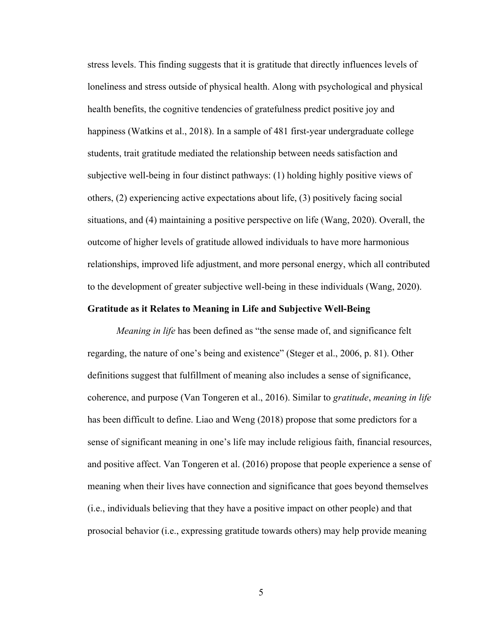stress levels. This finding suggests that it is gratitude that directly influences levels of loneliness and stress outside of physical health. Along with psychological and physical health benefits, the cognitive tendencies of gratefulness predict positive joy and happiness (Watkins et al., 2018). In a sample of 481 first-year undergraduate college students, trait gratitude mediated the relationship between needs satisfaction and subjective well-being in four distinct pathways: (1) holding highly positive views of others, (2) experiencing active expectations about life, (3) positively facing social situations, and (4) maintaining a positive perspective on life (Wang, 2020). Overall, the outcome of higher levels of gratitude allowed individuals to have more harmonious relationships, improved life adjustment, and more personal energy, which all contributed to the development of greater subjective well-being in these individuals (Wang, 2020).

#### **Gratitude as it Relates to Meaning in Life and Subjective Well-Being**

*Meaning in life* has been defined as "the sense made of, and significance felt regarding, the nature of one's being and existence" (Steger et al., 2006, p. 81). Other definitions suggest that fulfillment of meaning also includes a sense of significance, coherence, and purpose (Van Tongeren et al., 2016). Similar to *gratitude*, *meaning in life* has been difficult to define. Liao and Weng (2018) propose that some predictors for a sense of significant meaning in one's life may include religious faith, financial resources, and positive affect. Van Tongeren et al. (2016) propose that people experience a sense of meaning when their lives have connection and significance that goes beyond themselves (i.e., individuals believing that they have a positive impact on other people) and that prosocial behavior (i.e., expressing gratitude towards others) may help provide meaning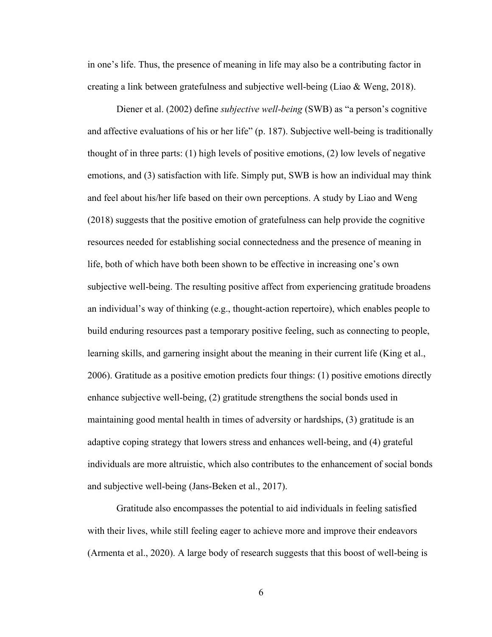in one's life. Thus, the presence of meaning in life may also be a contributing factor in creating a link between gratefulness and subjective well-being (Liao & Weng, 2018).

Diener et al. (2002) define *subjective well-being* (SWB) as "a person's cognitive and affective evaluations of his or her life" (p. 187). Subjective well-being is traditionally thought of in three parts: (1) high levels of positive emotions, (2) low levels of negative emotions, and (3) satisfaction with life. Simply put, SWB is how an individual may think and feel about his/her life based on their own perceptions. A study by Liao and Weng (2018) suggests that the positive emotion of gratefulness can help provide the cognitive resources needed for establishing social connectedness and the presence of meaning in life, both of which have both been shown to be effective in increasing one's own subjective well-being. The resulting positive affect from experiencing gratitude broadens an individual's way of thinking (e.g., thought-action repertoire), which enables people to build enduring resources past a temporary positive feeling, such as connecting to people, learning skills, and garnering insight about the meaning in their current life (King et al., 2006). Gratitude as a positive emotion predicts four things: (1) positive emotions directly enhance subjective well-being, (2) gratitude strengthens the social bonds used in maintaining good mental health in times of adversity or hardships, (3) gratitude is an adaptive coping strategy that lowers stress and enhances well-being, and (4) grateful individuals are more altruistic, which also contributes to the enhancement of social bonds and subjective well-being (Jans-Beken et al., 2017).

Gratitude also encompasses the potential to aid individuals in feeling satisfied with their lives, while still feeling eager to achieve more and improve their endeavors (Armenta et al., 2020). A large body of research suggests that this boost of well-being is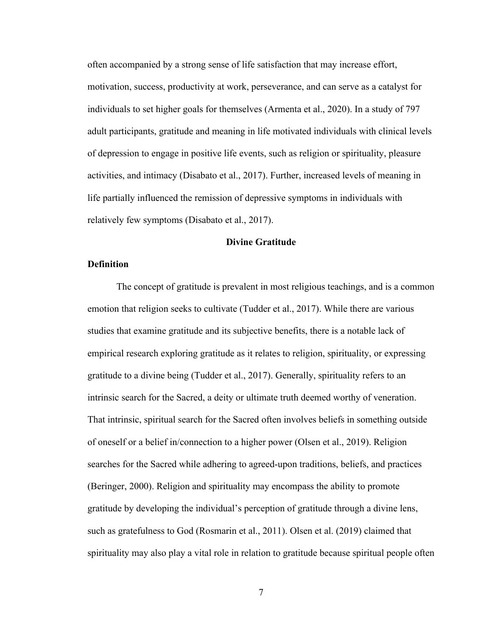often accompanied by a strong sense of life satisfaction that may increase effort, motivation, success, productivity at work, perseverance, and can serve as a catalyst for individuals to set higher goals for themselves (Armenta et al., 2020). In a study of 797 adult participants, gratitude and meaning in life motivated individuals with clinical levels of depression to engage in positive life events, such as religion or spirituality, pleasure activities, and intimacy (Disabato et al., 2017). Further, increased levels of meaning in life partially influenced the remission of depressive symptoms in individuals with relatively few symptoms (Disabato et al., 2017).

## **Divine Gratitude**

#### **Definition**

The concept of gratitude is prevalent in most religious teachings, and is a common emotion that religion seeks to cultivate (Tudder et al., 2017). While there are various studies that examine gratitude and its subjective benefits, there is a notable lack of empirical research exploring gratitude as it relates to religion, spirituality, or expressing gratitude to a divine being (Tudder et al., 2017). Generally, spirituality refers to an intrinsic search for the Sacred, a deity or ultimate truth deemed worthy of veneration. That intrinsic, spiritual search for the Sacred often involves beliefs in something outside of oneself or a belief in/connection to a higher power (Olsen et al., 2019). Religion searches for the Sacred while adhering to agreed-upon traditions, beliefs, and practices (Beringer, 2000). Religion and spirituality may encompass the ability to promote gratitude by developing the individual's perception of gratitude through a divine lens, such as gratefulness to God (Rosmarin et al., 2011). Olsen et al. (2019) claimed that spirituality may also play a vital role in relation to gratitude because spiritual people often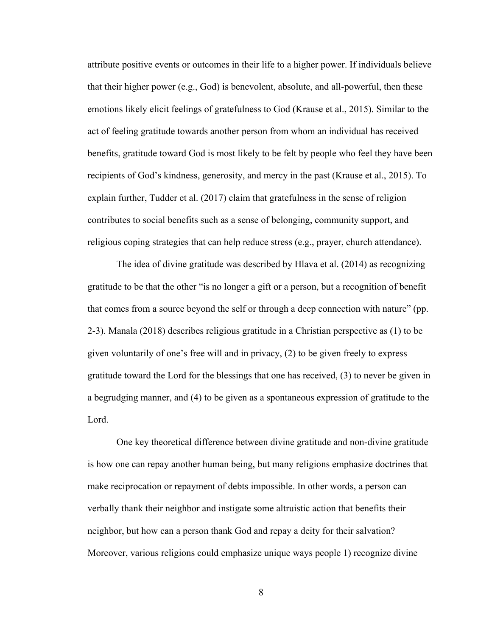attribute positive events or outcomes in their life to a higher power. If individuals believe that their higher power (e.g., God) is benevolent, absolute, and all-powerful, then these emotions likely elicit feelings of gratefulness to God (Krause et al., 2015). Similar to the act of feeling gratitude towards another person from whom an individual has received benefits, gratitude toward God is most likely to be felt by people who feel they have been recipients of God's kindness, generosity, and mercy in the past (Krause et al., 2015). To explain further, Tudder et al. (2017) claim that gratefulness in the sense of religion contributes to social benefits such as a sense of belonging, community support, and religious coping strategies that can help reduce stress (e.g., prayer, church attendance).

The idea of divine gratitude was described by Hlava et al. (2014) as recognizing gratitude to be that the other "is no longer a gift or a person, but a recognition of benefit that comes from a source beyond the self or through a deep connection with nature" (pp. 2-3). Manala (2018) describes religious gratitude in a Christian perspective as (1) to be given voluntarily of one's free will and in privacy, (2) to be given freely to express gratitude toward the Lord for the blessings that one has received, (3) to never be given in a begrudging manner, and (4) to be given as a spontaneous expression of gratitude to the Lord.

One key theoretical difference between divine gratitude and non-divine gratitude is how one can repay another human being, but many religions emphasize doctrines that make reciprocation or repayment of debts impossible. In other words, a person can verbally thank their neighbor and instigate some altruistic action that benefits their neighbor, but how can a person thank God and repay a deity for their salvation? Moreover, various religions could emphasize unique ways people 1) recognize divine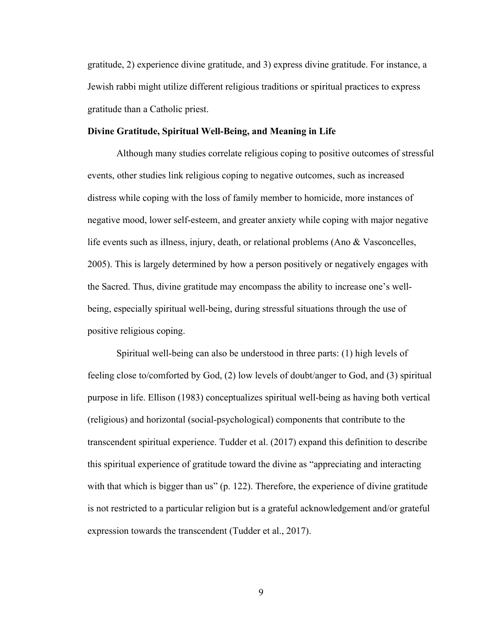gratitude, 2) experience divine gratitude, and 3) express divine gratitude. For instance, a Jewish rabbi might utilize different religious traditions or spiritual practices to express gratitude than a Catholic priest.

#### **Divine Gratitude, Spiritual Well-Being, and Meaning in Life**

Although many studies correlate religious coping to positive outcomes of stressful events, other studies link religious coping to negative outcomes, such as increased distress while coping with the loss of family member to homicide, more instances of negative mood, lower self-esteem, and greater anxiety while coping with major negative life events such as illness, injury, death, or relational problems (Ano & Vasconcelles, 2005). This is largely determined by how a person positively or negatively engages with the Sacred. Thus, divine gratitude may encompass the ability to increase one's wellbeing, especially spiritual well-being, during stressful situations through the use of positive religious coping.

Spiritual well-being can also be understood in three parts: (1) high levels of feeling close to/comforted by God, (2) low levels of doubt/anger to God, and (3) spiritual purpose in life. Ellison (1983) conceptualizes spiritual well-being as having both vertical (religious) and horizontal (social-psychological) components that contribute to the transcendent spiritual experience. Tudder et al. (2017) expand this definition to describe this spiritual experience of gratitude toward the divine as "appreciating and interacting with that which is bigger than us" (p. 122). Therefore, the experience of divine gratitude is not restricted to a particular religion but is a grateful acknowledgement and/or grateful expression towards the transcendent (Tudder et al., 2017).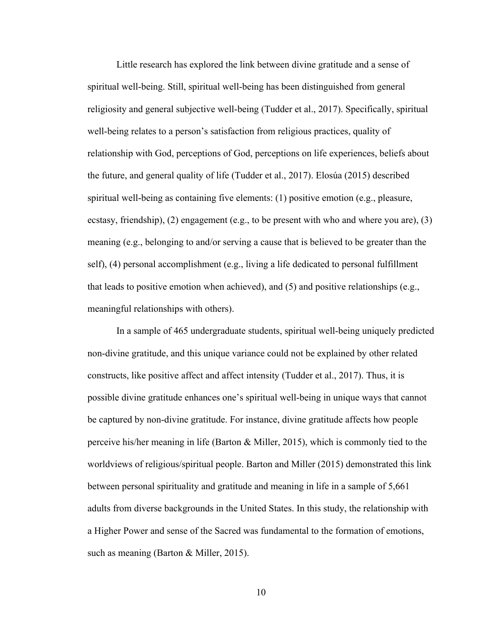Little research has explored the link between divine gratitude and a sense of spiritual well-being. Still, spiritual well-being has been distinguished from general religiosity and general subjective well-being (Tudder et al., 2017). Specifically, spiritual well-being relates to a person's satisfaction from religious practices, quality of relationship with God, perceptions of God, perceptions on life experiences, beliefs about the future, and general quality of life (Tudder et al., 2017). Elosúa (2015) described spiritual well-being as containing five elements: (1) positive emotion (e.g., pleasure, ecstasy, friendship), (2) engagement (e.g., to be present with who and where you are), (3) meaning (e.g., belonging to and/or serving a cause that is believed to be greater than the self), (4) personal accomplishment (e.g., living a life dedicated to personal fulfillment that leads to positive emotion when achieved), and (5) and positive relationships (e.g., meaningful relationships with others).

In a sample of 465 undergraduate students, spiritual well-being uniquely predicted non-divine gratitude, and this unique variance could not be explained by other related constructs, like positive affect and affect intensity (Tudder et al., 2017). Thus, it is possible divine gratitude enhances one's spiritual well-being in unique ways that cannot be captured by non-divine gratitude. For instance, divine gratitude affects how people perceive his/her meaning in life (Barton & Miller, 2015), which is commonly tied to the worldviews of religious/spiritual people. Barton and Miller (2015) demonstrated this link between personal spirituality and gratitude and meaning in life in a sample of 5,661 adults from diverse backgrounds in the United States. In this study, the relationship with a Higher Power and sense of the Sacred was fundamental to the formation of emotions, such as meaning (Barton & Miller, 2015).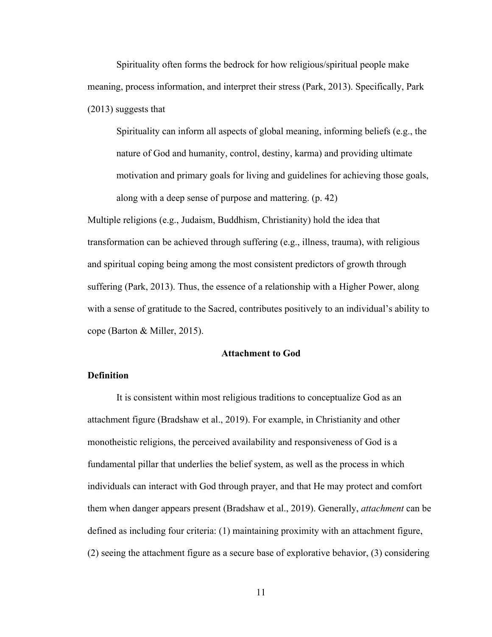Spirituality often forms the bedrock for how religious/spiritual people make meaning, process information, and interpret their stress (Park, 2013). Specifically, Park (2013) suggests that

Spirituality can inform all aspects of global meaning, informing beliefs (e.g., the nature of God and humanity, control, destiny, karma) and providing ultimate motivation and primary goals for living and guidelines for achieving those goals, along with a deep sense of purpose and mattering. (p. 42)

Multiple religions (e.g., Judaism, Buddhism, Christianity) hold the idea that transformation can be achieved through suffering (e.g., illness, trauma), with religious and spiritual coping being among the most consistent predictors of growth through suffering (Park, 2013). Thus, the essence of a relationship with a Higher Power, along with a sense of gratitude to the Sacred, contributes positively to an individual's ability to cope (Barton & Miller, 2015).

## **Attachment to God**

## **Definition**

It is consistent within most religious traditions to conceptualize God as an attachment figure (Bradshaw et al., 2019). For example, in Christianity and other monotheistic religions, the perceived availability and responsiveness of God is a fundamental pillar that underlies the belief system, as well as the process in which individuals can interact with God through prayer, and that He may protect and comfort them when danger appears present (Bradshaw et al., 2019). Generally, *attachment* can be defined as including four criteria: (1) maintaining proximity with an attachment figure, (2) seeing the attachment figure as a secure base of explorative behavior, (3) considering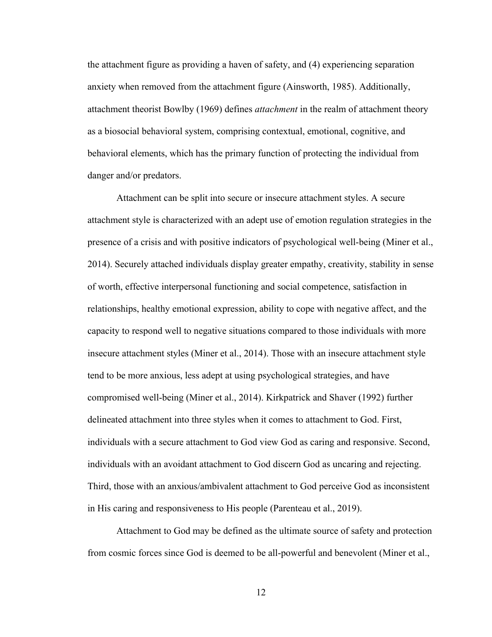the attachment figure as providing a haven of safety, and (4) experiencing separation anxiety when removed from the attachment figure (Ainsworth, 1985). Additionally, attachment theorist Bowlby (1969) defines *attachment* in the realm of attachment theory as a biosocial behavioral system, comprising contextual, emotional, cognitive, and behavioral elements, which has the primary function of protecting the individual from danger and/or predators.

Attachment can be split into secure or insecure attachment styles. A secure attachment style is characterized with an adept use of emotion regulation strategies in the presence of a crisis and with positive indicators of psychological well-being (Miner et al., 2014). Securely attached individuals display greater empathy, creativity, stability in sense of worth, effective interpersonal functioning and social competence, satisfaction in relationships, healthy emotional expression, ability to cope with negative affect, and the capacity to respond well to negative situations compared to those individuals with more insecure attachment styles (Miner et al., 2014). Those with an insecure attachment style tend to be more anxious, less adept at using psychological strategies, and have compromised well-being (Miner et al., 2014). Kirkpatrick and Shaver (1992) further delineated attachment into three styles when it comes to attachment to God. First, individuals with a secure attachment to God view God as caring and responsive. Second, individuals with an avoidant attachment to God discern God as uncaring and rejecting. Third, those with an anxious/ambivalent attachment to God perceive God as inconsistent in His caring and responsiveness to His people (Parenteau et al., 2019).

Attachment to God may be defined as the ultimate source of safety and protection from cosmic forces since God is deemed to be all-powerful and benevolent (Miner et al.,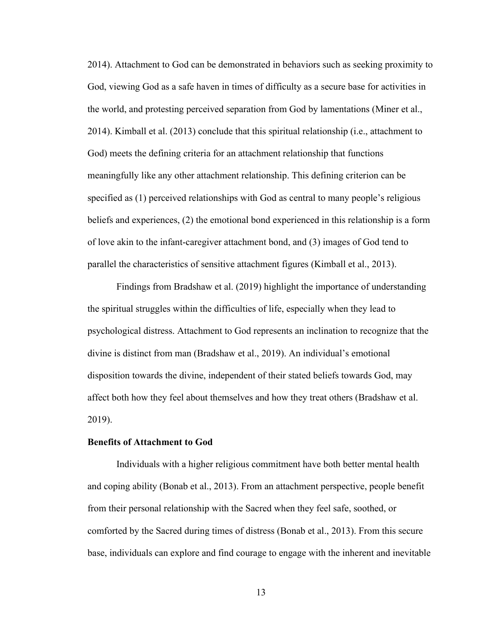2014). Attachment to God can be demonstrated in behaviors such as seeking proximity to God, viewing God as a safe haven in times of difficulty as a secure base for activities in the world, and protesting perceived separation from God by lamentations (Miner et al., 2014). Kimball et al. (2013) conclude that this spiritual relationship (i.e., attachment to God) meets the defining criteria for an attachment relationship that functions meaningfully like any other attachment relationship. This defining criterion can be specified as (1) perceived relationships with God as central to many people's religious beliefs and experiences, (2) the emotional bond experienced in this relationship is a form of love akin to the infant-caregiver attachment bond, and (3) images of God tend to parallel the characteristics of sensitive attachment figures (Kimball et al., 2013).

Findings from Bradshaw et al. (2019) highlight the importance of understanding the spiritual struggles within the difficulties of life, especially when they lead to psychological distress. Attachment to God represents an inclination to recognize that the divine is distinct from man (Bradshaw et al., 2019). An individual's emotional disposition towards the divine, independent of their stated beliefs towards God, may affect both how they feel about themselves and how they treat others (Bradshaw et al. 2019).

#### **Benefits of Attachment to God**

Individuals with a higher religious commitment have both better mental health and coping ability (Bonab et al., 2013). From an attachment perspective, people benefit from their personal relationship with the Sacred when they feel safe, soothed, or comforted by the Sacred during times of distress (Bonab et al., 2013). From this secure base, individuals can explore and find courage to engage with the inherent and inevitable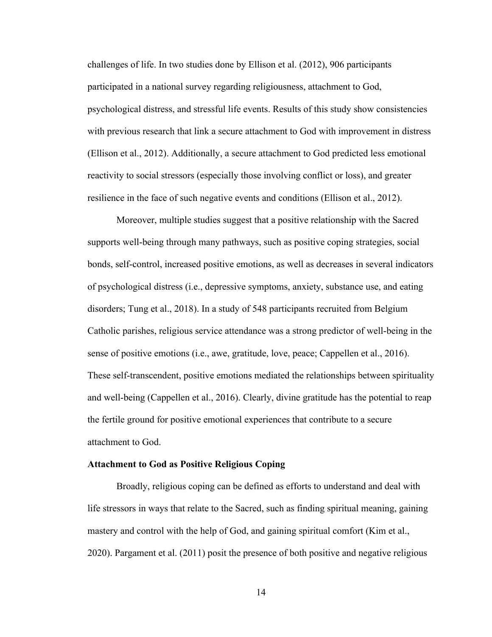challenges of life. In two studies done by Ellison et al. (2012), 906 participants participated in a national survey regarding religiousness, attachment to God, psychological distress, and stressful life events. Results of this study show consistencies with previous research that link a secure attachment to God with improvement in distress (Ellison et al., 2012). Additionally, a secure attachment to God predicted less emotional reactivity to social stressors (especially those involving conflict or loss), and greater resilience in the face of such negative events and conditions (Ellison et al., 2012).

Moreover, multiple studies suggest that a positive relationship with the Sacred supports well-being through many pathways, such as positive coping strategies, social bonds, self-control, increased positive emotions, as well as decreases in several indicators of psychological distress (i.e., depressive symptoms, anxiety, substance use, and eating disorders; Tung et al., 2018). In a study of 548 participants recruited from Belgium Catholic parishes, religious service attendance was a strong predictor of well-being in the sense of positive emotions (i.e., awe, gratitude, love, peace; Cappellen et al., 2016). These self-transcendent, positive emotions mediated the relationships between spirituality and well-being (Cappellen et al., 2016). Clearly, divine gratitude has the potential to reap the fertile ground for positive emotional experiences that contribute to a secure attachment to God.

## **Attachment to God as Positive Religious Coping**

Broadly, religious coping can be defined as efforts to understand and deal with life stressors in ways that relate to the Sacred, such as finding spiritual meaning, gaining mastery and control with the help of God, and gaining spiritual comfort (Kim et al., 2020). Pargament et al. (2011) posit the presence of both positive and negative religious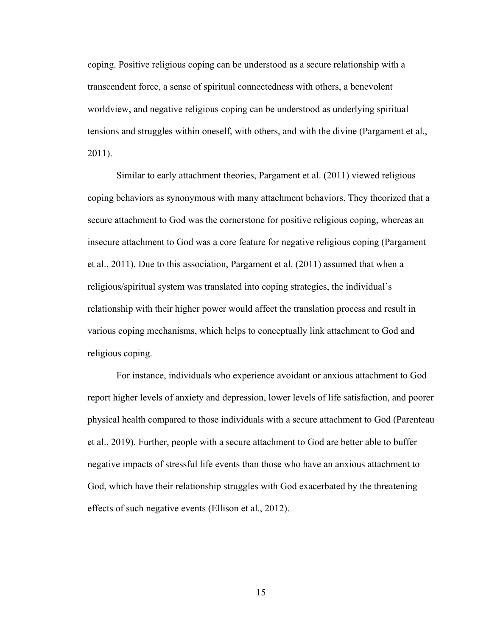coping. Positive religious coping can be understood as a secure relationship with a transcendent force, a sense of spiritual connectedness with others, a benevolent worldview, and negative religious coping can be understood as underlying spiritual tensions and struggles within oneself, with others, and with the divine (Pargament et al., 2011).

Similar to early attachment theories, Pargament et al. (2011) viewed religious coping behaviors as synonymous with many attachment behaviors. They theorized that a secure attachment to God was the cornerstone for positive religious coping, whereas an insecure attachment to God was a core feature for negative religious coping (Pargament et al., 2011). Due to this association, Pargament et al. (2011) assumed that when a religious/spiritual system was translated into coping strategies, the individual's relationship with their higher power would affect the translation process and result in various coping mechanisms, which helps to conceptually link attachment to God and religious coping.

For instance, individuals who experience avoidant or anxious attachment to God report higher levels of anxiety and depression, lower levels of life satisfaction, and poorer physical health compared to those individuals with a secure attachment to God (Parenteau et al., 2019). Further, people with a secure attachment to God are better able to buffer negative impacts of stressful life events than those who have an anxious attachment to God, which have their relationship struggles with God exacerbated by the threatening effects of such negative events (Ellison et al., 2012).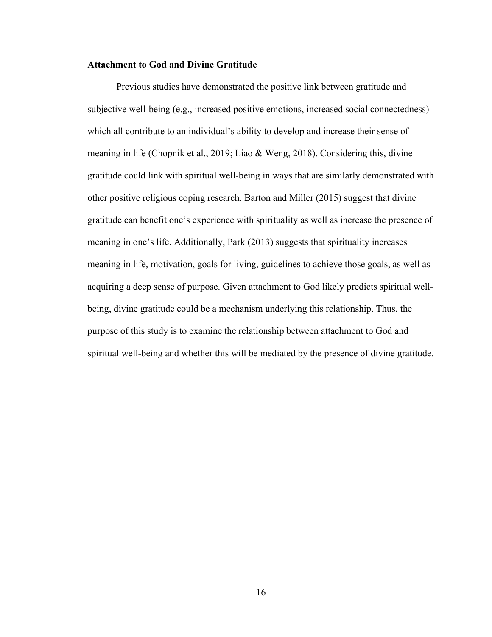#### **Attachment to God and Divine Gratitude**

Previous studies have demonstrated the positive link between gratitude and subjective well-being (e.g., increased positive emotions, increased social connectedness) which all contribute to an individual's ability to develop and increase their sense of meaning in life (Chopnik et al., 2019; Liao & Weng, 2018). Considering this, divine gratitude could link with spiritual well-being in ways that are similarly demonstrated with other positive religious coping research. Barton and Miller (2015) suggest that divine gratitude can benefit one's experience with spirituality as well as increase the presence of meaning in one's life. Additionally, Park (2013) suggests that spirituality increases meaning in life, motivation, goals for living, guidelines to achieve those goals, as well as acquiring a deep sense of purpose. Given attachment to God likely predicts spiritual wellbeing, divine gratitude could be a mechanism underlying this relationship. Thus, the purpose of this study is to examine the relationship between attachment to God and spiritual well-being and whether this will be mediated by the presence of divine gratitude.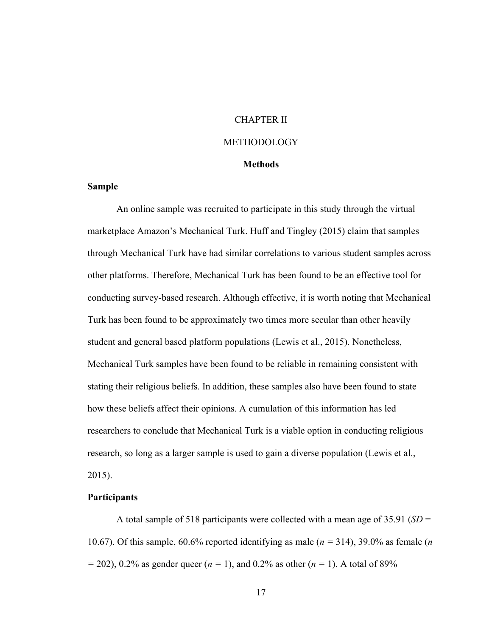# CHAPTER II

## METHODOLOGY

#### **Methods**

## **Sample**

An online sample was recruited to participate in this study through the virtual marketplace Amazon's Mechanical Turk. Huff and Tingley (2015) claim that samples through Mechanical Turk have had similar correlations to various student samples across other platforms. Therefore, Mechanical Turk has been found to be an effective tool for conducting survey-based research. Although effective, it is worth noting that Mechanical Turk has been found to be approximately two times more secular than other heavily student and general based platform populations (Lewis et al., 2015). Nonetheless, Mechanical Turk samples have been found to be reliable in remaining consistent with stating their religious beliefs. In addition, these samples also have been found to state how these beliefs affect their opinions. A cumulation of this information has led researchers to conclude that Mechanical Turk is a viable option in conducting religious research, so long as a larger sample is used to gain a diverse population (Lewis et al., 2015).

#### **Participants**

A total sample of 518 participants were collected with a mean age of 35.91 (*SD* = 10.67). Of this sample, 60.6% reported identifying as male (*n =* 314), 39.0% as female (*n =* 202), 0.2% as gender queer (*n =* 1), and 0.2% as other (*n =* 1). A total of 89%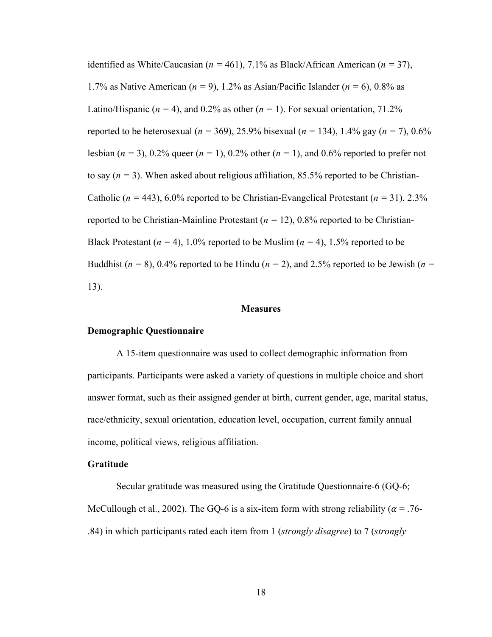identified as White/Caucasian (*n =* 461), 7.1% as Black/African American (*n =* 37), 1.7% as Native American (*n =* 9), 1.2% as Asian/Pacific Islander (*n =* 6), 0.8% as Latino/Hispanic ( $n = 4$ ), and 0.2% as other ( $n = 1$ ). For sexual orientation, 71.2% reported to be heterosexual (*n =* 369), 25.9% bisexual (*n =* 134), 1.4% gay (*n =* 7), 0.6% lesbian (*n =* 3), 0.2% queer (*n =* 1), 0.2% other (*n =* 1), and 0.6% reported to prefer not to say  $(n = 3)$ . When asked about religious affiliation, 85.5% reported to be Christian-Catholic (*n =* 443), 6.0% reported to be Christian-Evangelical Protestant (*n =* 31), 2.3% reported to be Christian-Mainline Protestant (*n =* 12), 0.8% reported to be Christian-Black Protestant ( $n = 4$ ), 1.0% reported to be Muslim ( $n = 4$ ), 1.5% reported to be Buddhist ( $n = 8$ ), 0.4% reported to be Hindu ( $n = 2$ ), and 2.5% reported to be Jewish ( $n = 2$ ) 13).

#### **Measures**

#### **Demographic Questionnaire**

A 15-item questionnaire was used to collect demographic information from participants. Participants were asked a variety of questions in multiple choice and short answer format, such as their assigned gender at birth, current gender, age, marital status, race/ethnicity, sexual orientation, education level, occupation, current family annual income, political views, religious affiliation.

## **Gratitude**

Secular gratitude was measured using the Gratitude Questionnaire-6 (GQ-6; McCullough et al., 2002). The GQ-6 is a six-item form with strong reliability ( $\alpha = .76$ -.84) in which participants rated each item from 1 (*strongly disagree*) to 7 (*strongly*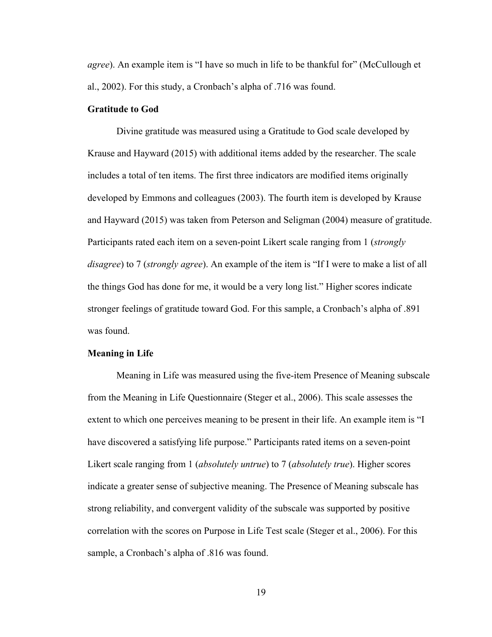*agree*). An example item is "I have so much in life to be thankful for" (McCullough et al., 2002). For this study, a Cronbach's alpha of .716 was found.

#### **Gratitude to God**

Divine gratitude was measured using a Gratitude to God scale developed by Krause and Hayward (2015) with additional items added by the researcher. The scale includes a total of ten items. The first three indicators are modified items originally developed by Emmons and colleagues (2003). The fourth item is developed by Krause and Hayward (2015) was taken from Peterson and Seligman (2004) measure of gratitude. Participants rated each item on a seven-point Likert scale ranging from 1 (*strongly disagree*) to 7 (*strongly agree*). An example of the item is "If I were to make a list of all the things God has done for me, it would be a very long list." Higher scores indicate stronger feelings of gratitude toward God. For this sample, a Cronbach's alpha of .891 was found.

## **Meaning in Life**

Meaning in Life was measured using the five-item Presence of Meaning subscale from the Meaning in Life Questionnaire (Steger et al., 2006). This scale assesses the extent to which one perceives meaning to be present in their life. An example item is "I have discovered a satisfying life purpose." Participants rated items on a seven-point Likert scale ranging from 1 (*absolutely untrue*) to 7 (*absolutely true*). Higher scores indicate a greater sense of subjective meaning. The Presence of Meaning subscale has strong reliability, and convergent validity of the subscale was supported by positive correlation with the scores on Purpose in Life Test scale (Steger et al., 2006). For this sample, a Cronbach's alpha of .816 was found.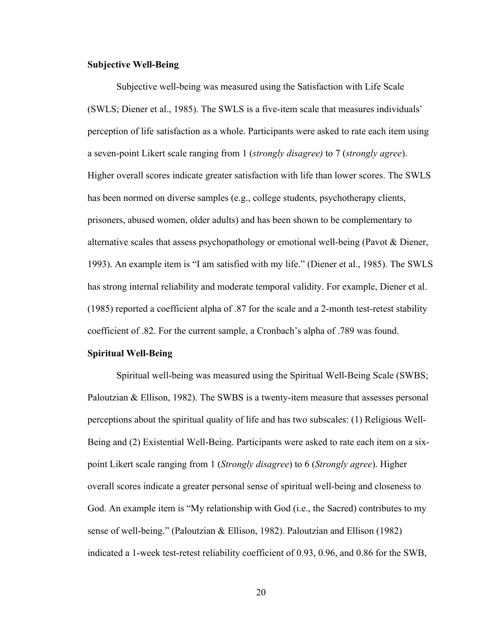#### **Subjective Well-Being**

Subjective well-being was measured using the Satisfaction with Life Scale (SWLS; Diener et al., 1985). The SWLS is a five-item scale that measures individuals' perception of life satisfaction as a whole. Participants were asked to rate each item using a seven-point Likert scale ranging from 1 (*strongly disagree)* to 7 (*strongly agree*). Higher overall scores indicate greater satisfaction with life than lower scores. The SWLS has been normed on diverse samples (e.g., college students, psychotherapy clients, prisoners, abused women, older adults) and has been shown to be complementary to alternative scales that assess psychopathology or emotional well-being (Pavot & Diener, 1993). An example item is "I am satisfied with my life." (Diener et al., 1985). The SWLS has strong internal reliability and moderate temporal validity. For example, Diener et al. (1985) reported a coefficient alpha of .87 for the scale and a 2-month test-retest stability coefficient of .82. For the current sample, a Cronbach's alpha of .789 was found.

## **Spiritual Well-Being**

Spiritual well-being was measured using the Spiritual Well-Being Scale (SWBS; Paloutzian & Ellison, 1982). The SWBS is a twenty-item measure that assesses personal perceptions about the spiritual quality of life and has two subscales: (1) Religious Well-Being and (2) Existential Well-Being. Participants were asked to rate each item on a sixpoint Likert scale ranging from 1 (*Strongly disagree*) to 6 (*Strongly agree*). Higher overall scores indicate a greater personal sense of spiritual well-being and closeness to God. An example item is "My relationship with God (i.e., the Sacred) contributes to my sense of well-being." (Paloutzian & Ellison, 1982). Paloutzian and Ellison (1982) indicated a 1-week test-retest reliability coefficient of 0.93, 0.96, and 0.86 for the SWB,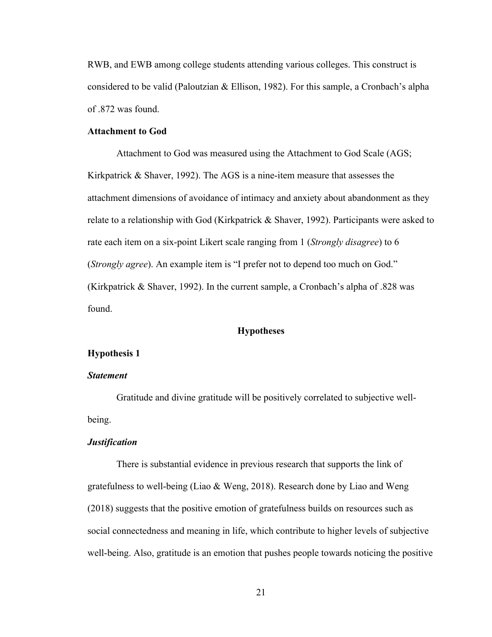RWB, and EWB among college students attending various colleges. This construct is considered to be valid (Paloutzian & Ellison, 1982). For this sample, a Cronbach's alpha of .872 was found.

#### **Attachment to God**

Attachment to God was measured using the Attachment to God Scale (AGS; Kirkpatrick & Shaver, 1992). The AGS is a nine-item measure that assesses the attachment dimensions of avoidance of intimacy and anxiety about abandonment as they relate to a relationship with God (Kirkpatrick & Shaver, 1992). Participants were asked to rate each item on a six-point Likert scale ranging from 1 (*Strongly disagree*) to 6 (*Strongly agree*). An example item is "I prefer not to depend too much on God." (Kirkpatrick & Shaver, 1992). In the current sample, a Cronbach's alpha of .828 was found.

## **Hypotheses**

## **Hypothesis 1**

## *Statement*

Gratitude and divine gratitude will be positively correlated to subjective wellbeing.

## *Justification*

There is substantial evidence in previous research that supports the link of gratefulness to well-being (Liao & Weng, 2018). Research done by Liao and Weng (2018) suggests that the positive emotion of gratefulness builds on resources such as social connectedness and meaning in life, which contribute to higher levels of subjective well-being. Also, gratitude is an emotion that pushes people towards noticing the positive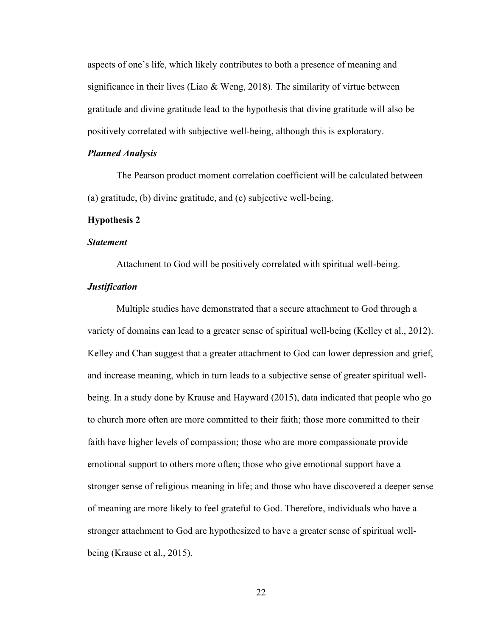aspects of one's life, which likely contributes to both a presence of meaning and significance in their lives (Liao & Weng, 2018). The similarity of virtue between gratitude and divine gratitude lead to the hypothesis that divine gratitude will also be positively correlated with subjective well-being, although this is exploratory.

#### *Planned Analysis*

The Pearson product moment correlation coefficient will be calculated between (a) gratitude, (b) divine gratitude, and (c) subjective well-being.

#### **Hypothesis 2**

#### *Statement*

Attachment to God will be positively correlated with spiritual well-being.

# *Justification*

Multiple studies have demonstrated that a secure attachment to God through a variety of domains can lead to a greater sense of spiritual well-being (Kelley et al., 2012). Kelley and Chan suggest that a greater attachment to God can lower depression and grief, and increase meaning, which in turn leads to a subjective sense of greater spiritual wellbeing. In a study done by Krause and Hayward (2015), data indicated that people who go to church more often are more committed to their faith; those more committed to their faith have higher levels of compassion; those who are more compassionate provide emotional support to others more often; those who give emotional support have a stronger sense of religious meaning in life; and those who have discovered a deeper sense of meaning are more likely to feel grateful to God. Therefore, individuals who have a stronger attachment to God are hypothesized to have a greater sense of spiritual wellbeing (Krause et al., 2015).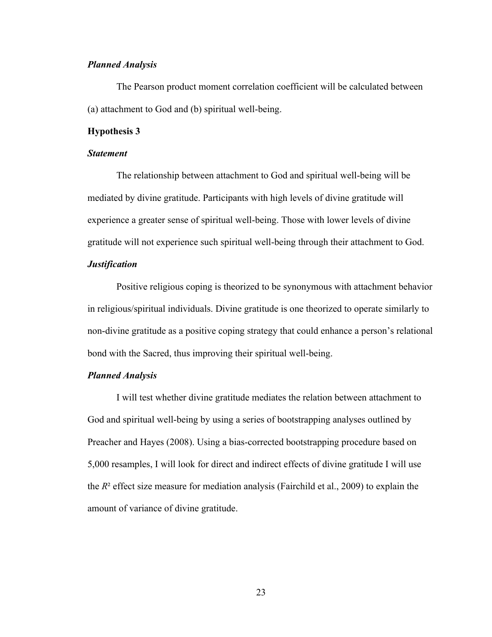## *Planned Analysis*

The Pearson product moment correlation coefficient will be calculated between (a) attachment to God and (b) spiritual well-being.

#### **Hypothesis 3**

## *Statement*

The relationship between attachment to God and spiritual well-being will be mediated by divine gratitude. Participants with high levels of divine gratitude will experience a greater sense of spiritual well-being. Those with lower levels of divine gratitude will not experience such spiritual well-being through their attachment to God.

## *Justification*

Positive religious coping is theorized to be synonymous with attachment behavior in religious/spiritual individuals. Divine gratitude is one theorized to operate similarly to non-divine gratitude as a positive coping strategy that could enhance a person's relational bond with the Sacred, thus improving their spiritual well-being.

## *Planned Analysis*

I will test whether divine gratitude mediates the relation between attachment to God and spiritual well-being by using a series of bootstrapping analyses outlined by Preacher and Hayes (2008). Using a bias-corrected bootstrapping procedure based on 5,000 resamples, I will look for direct and indirect effects of divine gratitude I will use the *R*² effect size measure for mediation analysis (Fairchild et al., 2009) to explain the amount of variance of divine gratitude.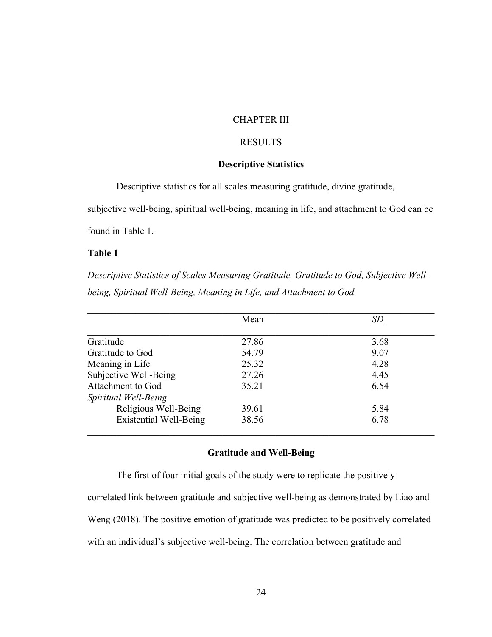# CHAPTER III

# RESULTS

# **Descriptive Statistics**

Descriptive statistics for all scales measuring gratitude, divine gratitude,

subjective well-being, spiritual well-being, meaning in life, and attachment to God can be

found in Table 1.

# **Table 1**

*Descriptive Statistics of Scales Measuring Gratitude, Gratitude to God, Subjective Wellbeing, Spiritual Well-Being, Meaning in Life, and Attachment to God*

|                               | Mean  | SD   |
|-------------------------------|-------|------|
|                               |       |      |
| Gratitude                     | 27.86 | 3.68 |
| Gratitude to God              | 54.79 | 9.07 |
| Meaning in Life               | 25.32 | 4.28 |
| Subjective Well-Being         | 27.26 | 4.45 |
| Attachment to God             | 35.21 | 6.54 |
| Spiritual Well-Being          |       |      |
| Religious Well-Being          | 39.61 | 5.84 |
| <b>Existential Well-Being</b> | 38.56 | 6.78 |

## **Gratitude and Well-Being**

The first of four initial goals of the study were to replicate the positively correlated link between gratitude and subjective well-being as demonstrated by Liao and Weng (2018). The positive emotion of gratitude was predicted to be positively correlated with an individual's subjective well-being. The correlation between gratitude and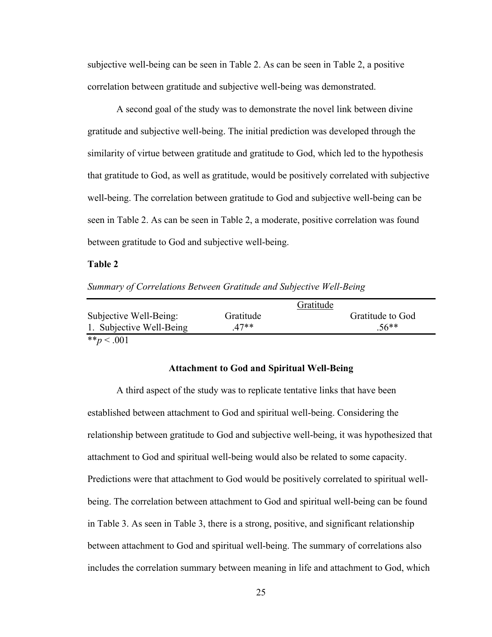subjective well-being can be seen in Table 2. As can be seen in Table 2, a positive correlation between gratitude and subjective well-being was demonstrated.

A second goal of the study was to demonstrate the novel link between divine gratitude and subjective well-being. The initial prediction was developed through the similarity of virtue between gratitude and gratitude to God, which led to the hypothesis that gratitude to God, as well as gratitude, would be positively correlated with subjective well-being. The correlation between gratitude to God and subjective well-being can be seen in Table 2. As can be seen in Table 2, a moderate, positive correlation was found between gratitude to God and subjective well-being.

#### **Table 2**

*Summary of Correlations Between Gratitude and Subjective Well-Being*

|                          |           | Gratitude        |
|--------------------------|-----------|------------------|
| Subjective Well-Being:   | Gratitude | Gratitude to God |
| 1. Subjective Well-Being | $47**$    | $.56**$          |
| ** $p < .001$            |           |                  |

#### **Attachment to God and Spiritual Well-Being**

A third aspect of the study was to replicate tentative links that have been established between attachment to God and spiritual well-being. Considering the relationship between gratitude to God and subjective well-being, it was hypothesized that attachment to God and spiritual well-being would also be related to some capacity. Predictions were that attachment to God would be positively correlated to spiritual wellbeing. The correlation between attachment to God and spiritual well-being can be found in Table 3. As seen in Table 3, there is a strong, positive, and significant relationship between attachment to God and spiritual well-being. The summary of correlations also includes the correlation summary between meaning in life and attachment to God, which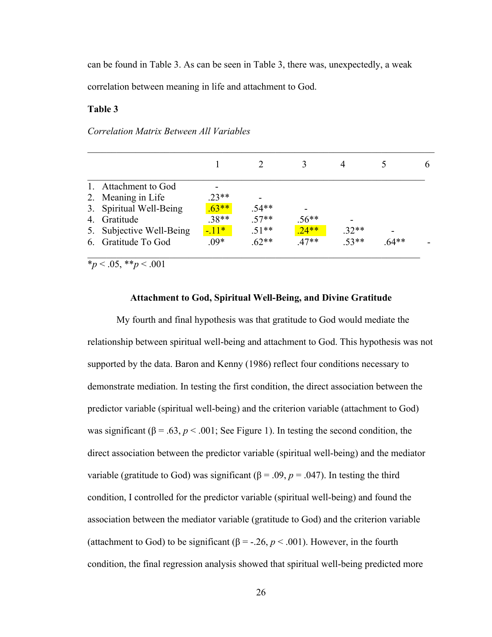can be found in Table 3. As can be seen in Table 3, there was, unexpectedly, a weak correlation between meaning in life and attachment to God.

#### **Table 3**

#### *Correlation Matrix Between All Variables*

|    | Attachment to God        |          |         |         |         |         |  |
|----|--------------------------|----------|---------|---------|---------|---------|--|
|    | 2. Meaning in Life       | $.23**$  |         |         |         |         |  |
|    | 3. Spiritual Well-Being  | $.63***$ | $.54**$ |         |         |         |  |
| 4. | Gratitude                | $.38**$  | $.57**$ | $.56**$ |         |         |  |
|    | 5. Subjective Well-Being | $-11*$   | $.51**$ | $.24**$ | $.32**$ |         |  |
| 6. | Gratitude To God         | $.09*$   | $.62**$ | $.47**$ | $.53**$ | $.64**$ |  |
|    |                          |          |         |         |         |         |  |

\**p* < .05, \*\**p* < .001

#### **Attachment to God, Spiritual Well-Being, and Divine Gratitude**

My fourth and final hypothesis was that gratitude to God would mediate the relationship between spiritual well-being and attachment to God. This hypothesis was not supported by the data. Baron and Kenny (1986) reflect four conditions necessary to demonstrate mediation. In testing the first condition, the direct association between the predictor variable (spiritual well-being) and the criterion variable (attachment to God) was significant ( $\beta = .63$ ,  $p < .001$ ; See Figure 1). In testing the second condition, the direct association between the predictor variable (spiritual well-being) and the mediator variable (gratitude to God) was significant (β = .09, *p* = .047). In testing the third condition, I controlled for the predictor variable (spiritual well-being) and found the association between the mediator variable (gratitude to God) and the criterion variable (attachment to God) to be significant ( $\beta$  = -.26,  $p$  < .001). However, in the fourth condition, the final regression analysis showed that spiritual well-being predicted more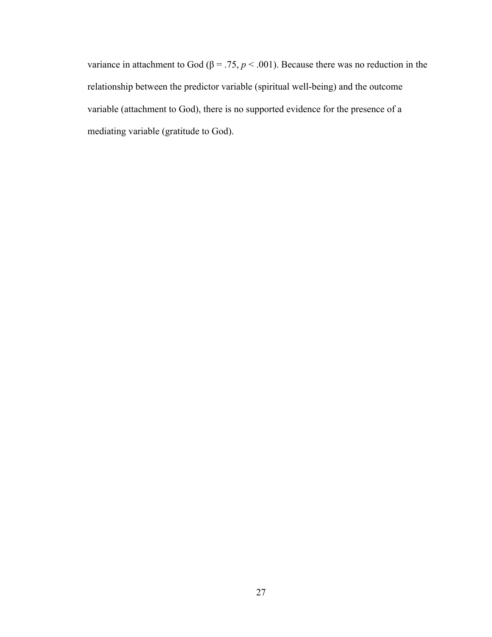variance in attachment to God ( $\beta = .75$ ,  $p < .001$ ). Because there was no reduction in the relationship between the predictor variable (spiritual well-being) and the outcome variable (attachment to God), there is no supported evidence for the presence of a mediating variable (gratitude to God).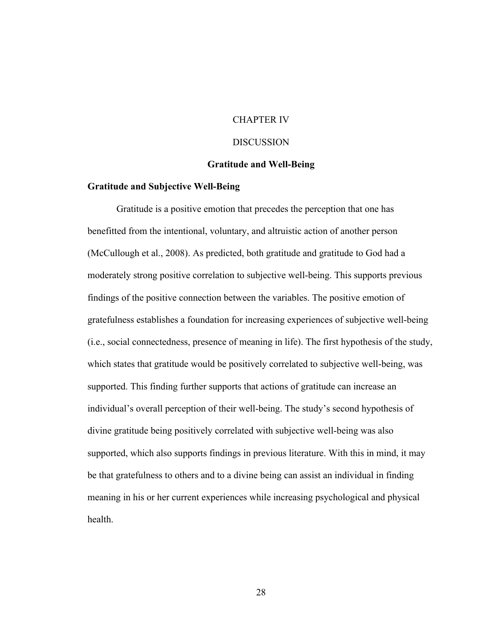# CHAPTER IV

#### **DISCUSSION**

#### **Gratitude and Well-Being**

#### **Gratitude and Subjective Well-Being**

Gratitude is a positive emotion that precedes the perception that one has benefitted from the intentional, voluntary, and altruistic action of another person (McCullough et al., 2008). As predicted, both gratitude and gratitude to God had a moderately strong positive correlation to subjective well-being. This supports previous findings of the positive connection between the variables. The positive emotion of gratefulness establishes a foundation for increasing experiences of subjective well-being (i.e., social connectedness, presence of meaning in life). The first hypothesis of the study, which states that gratitude would be positively correlated to subjective well-being, was supported. This finding further supports that actions of gratitude can increase an individual's overall perception of their well-being. The study's second hypothesis of divine gratitude being positively correlated with subjective well-being was also supported, which also supports findings in previous literature. With this in mind, it may be that gratefulness to others and to a divine being can assist an individual in finding meaning in his or her current experiences while increasing psychological and physical health.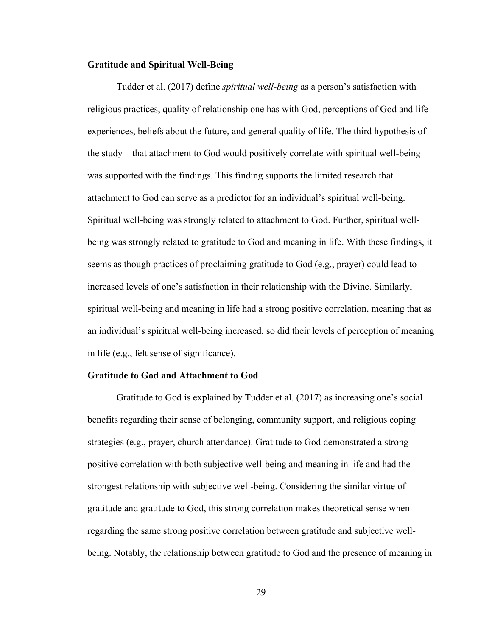#### **Gratitude and Spiritual Well-Being**

Tudder et al. (2017) define *spiritual well-being* as a person's satisfaction with religious practices, quality of relationship one has with God, perceptions of God and life experiences, beliefs about the future, and general quality of life. The third hypothesis of the study—that attachment to God would positively correlate with spiritual well-being was supported with the findings. This finding supports the limited research that attachment to God can serve as a predictor for an individual's spiritual well-being. Spiritual well-being was strongly related to attachment to God. Further, spiritual wellbeing was strongly related to gratitude to God and meaning in life. With these findings, it seems as though practices of proclaiming gratitude to God (e.g., prayer) could lead to increased levels of one's satisfaction in their relationship with the Divine. Similarly, spiritual well-being and meaning in life had a strong positive correlation, meaning that as an individual's spiritual well-being increased, so did their levels of perception of meaning in life (e.g., felt sense of significance).

## **Gratitude to God and Attachment to God**

Gratitude to God is explained by Tudder et al. (2017) as increasing one's social benefits regarding their sense of belonging, community support, and religious coping strategies (e.g., prayer, church attendance). Gratitude to God demonstrated a strong positive correlation with both subjective well-being and meaning in life and had the strongest relationship with subjective well-being. Considering the similar virtue of gratitude and gratitude to God, this strong correlation makes theoretical sense when regarding the same strong positive correlation between gratitude and subjective wellbeing. Notably, the relationship between gratitude to God and the presence of meaning in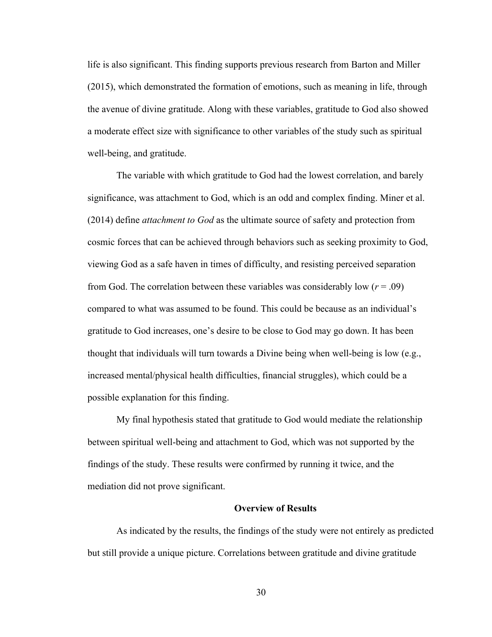life is also significant. This finding supports previous research from Barton and Miller (2015), which demonstrated the formation of emotions, such as meaning in life, through the avenue of divine gratitude. Along with these variables, gratitude to God also showed a moderate effect size with significance to other variables of the study such as spiritual well-being, and gratitude.

The variable with which gratitude to God had the lowest correlation, and barely significance, was attachment to God, which is an odd and complex finding. Miner et al. (2014) define *attachment to God* as the ultimate source of safety and protection from cosmic forces that can be achieved through behaviors such as seeking proximity to God, viewing God as a safe haven in times of difficulty, and resisting perceived separation from God. The correlation between these variables was considerably low  $(r = .09)$ compared to what was assumed to be found. This could be because as an individual's gratitude to God increases, one's desire to be close to God may go down. It has been thought that individuals will turn towards a Divine being when well-being is low (e.g., increased mental/physical health difficulties, financial struggles), which could be a possible explanation for this finding.

My final hypothesis stated that gratitude to God would mediate the relationship between spiritual well-being and attachment to God, which was not supported by the findings of the study. These results were confirmed by running it twice, and the mediation did not prove significant.

#### **Overview of Results**

As indicated by the results, the findings of the study were not entirely as predicted but still provide a unique picture. Correlations between gratitude and divine gratitude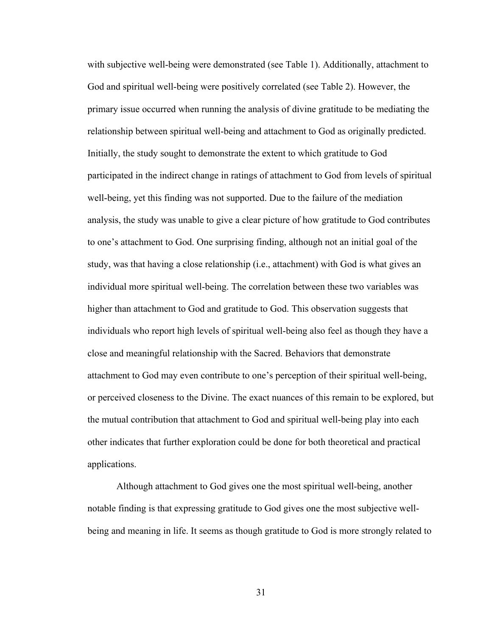with subjective well-being were demonstrated (see Table 1). Additionally, attachment to God and spiritual well-being were positively correlated (see Table 2). However, the primary issue occurred when running the analysis of divine gratitude to be mediating the relationship between spiritual well-being and attachment to God as originally predicted. Initially, the study sought to demonstrate the extent to which gratitude to God participated in the indirect change in ratings of attachment to God from levels of spiritual well-being, yet this finding was not supported. Due to the failure of the mediation analysis, the study was unable to give a clear picture of how gratitude to God contributes to one's attachment to God. One surprising finding, although not an initial goal of the study, was that having a close relationship (i.e., attachment) with God is what gives an individual more spiritual well-being. The correlation between these two variables was higher than attachment to God and gratitude to God. This observation suggests that individuals who report high levels of spiritual well-being also feel as though they have a close and meaningful relationship with the Sacred. Behaviors that demonstrate attachment to God may even contribute to one's perception of their spiritual well-being, or perceived closeness to the Divine. The exact nuances of this remain to be explored, but the mutual contribution that attachment to God and spiritual well-being play into each other indicates that further exploration could be done for both theoretical and practical applications.

Although attachment to God gives one the most spiritual well-being, another notable finding is that expressing gratitude to God gives one the most subjective wellbeing and meaning in life. It seems as though gratitude to God is more strongly related to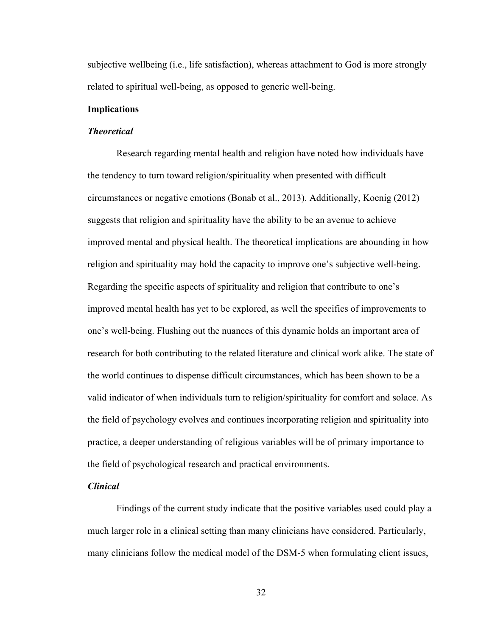subjective wellbeing (i.e., life satisfaction), whereas attachment to God is more strongly related to spiritual well-being, as opposed to generic well-being.

#### **Implications**

#### *Theoretical*

Research regarding mental health and religion have noted how individuals have the tendency to turn toward religion/spirituality when presented with difficult circumstances or negative emotions (Bonab et al., 2013). Additionally, Koenig (2012) suggests that religion and spirituality have the ability to be an avenue to achieve improved mental and physical health. The theoretical implications are abounding in how religion and spirituality may hold the capacity to improve one's subjective well-being. Regarding the specific aspects of spirituality and religion that contribute to one's improved mental health has yet to be explored, as well the specifics of improvements to one's well-being. Flushing out the nuances of this dynamic holds an important area of research for both contributing to the related literature and clinical work alike. The state of the world continues to dispense difficult circumstances, which has been shown to be a valid indicator of when individuals turn to religion/spirituality for comfort and solace. As the field of psychology evolves and continues incorporating religion and spirituality into practice, a deeper understanding of religious variables will be of primary importance to the field of psychological research and practical environments.

# *Clinical*

Findings of the current study indicate that the positive variables used could play a much larger role in a clinical setting than many clinicians have considered. Particularly, many clinicians follow the medical model of the DSM-5 when formulating client issues,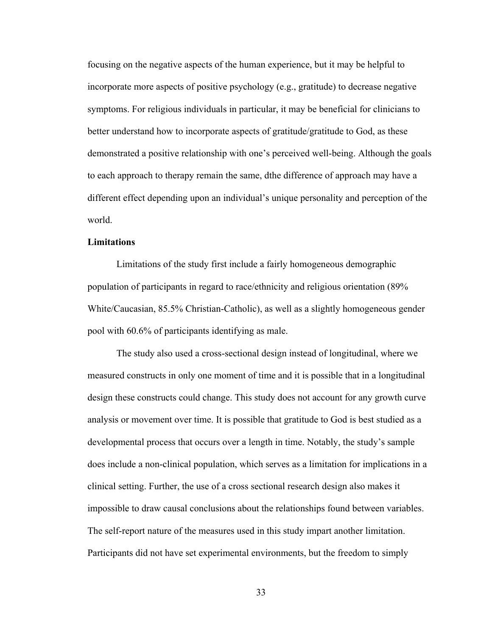focusing on the negative aspects of the human experience, but it may be helpful to incorporate more aspects of positive psychology (e.g., gratitude) to decrease negative symptoms. For religious individuals in particular, it may be beneficial for clinicians to better understand how to incorporate aspects of gratitude/gratitude to God, as these demonstrated a positive relationship with one's perceived well-being. Although the goals to each approach to therapy remain the same, dthe difference of approach may have a different effect depending upon an individual's unique personality and perception of the world.

#### **Limitations**

Limitations of the study first include a fairly homogeneous demographic population of participants in regard to race/ethnicity and religious orientation (89% White/Caucasian, 85.5% Christian-Catholic), as well as a slightly homogeneous gender pool with 60.6% of participants identifying as male.

The study also used a cross-sectional design instead of longitudinal, where we measured constructs in only one moment of time and it is possible that in a longitudinal design these constructs could change. This study does not account for any growth curve analysis or movement over time. It is possible that gratitude to God is best studied as a developmental process that occurs over a length in time. Notably, the study's sample does include a non-clinical population, which serves as a limitation for implications in a clinical setting. Further, the use of a cross sectional research design also makes it impossible to draw causal conclusions about the relationships found between variables. The self-report nature of the measures used in this study impart another limitation. Participants did not have set experimental environments, but the freedom to simply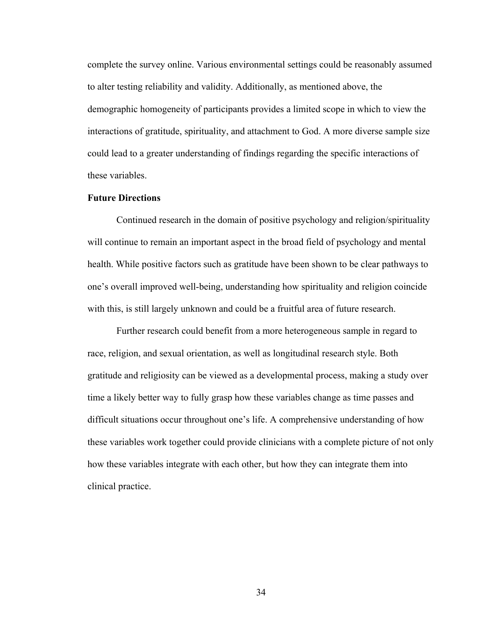complete the survey online. Various environmental settings could be reasonably assumed to alter testing reliability and validity. Additionally, as mentioned above, the demographic homogeneity of participants provides a limited scope in which to view the interactions of gratitude, spirituality, and attachment to God. A more diverse sample size could lead to a greater understanding of findings regarding the specific interactions of these variables.

#### **Future Directions**

Continued research in the domain of positive psychology and religion/spirituality will continue to remain an important aspect in the broad field of psychology and mental health. While positive factors such as gratitude have been shown to be clear pathways to one's overall improved well-being, understanding how spirituality and religion coincide with this, is still largely unknown and could be a fruitful area of future research.

Further research could benefit from a more heterogeneous sample in regard to race, religion, and sexual orientation, as well as longitudinal research style. Both gratitude and religiosity can be viewed as a developmental process, making a study over time a likely better way to fully grasp how these variables change as time passes and difficult situations occur throughout one's life. A comprehensive understanding of how these variables work together could provide clinicians with a complete picture of not only how these variables integrate with each other, but how they can integrate them into clinical practice.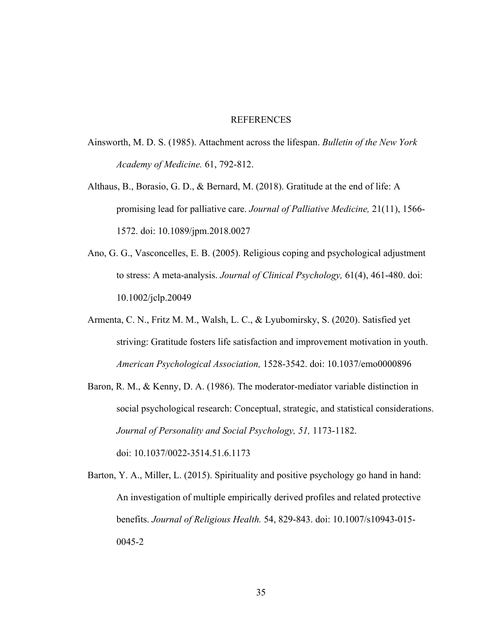#### **REFERENCES**

- Ainsworth, M. D. S. (1985). Attachment across the lifespan. *Bulletin of the New York Academy of Medicine.* 61, 792-812.
- Althaus, B., Borasio, G. D., & Bernard, M. (2018). Gratitude at the end of life: A promising lead for palliative care. *Journal of Palliative Medicine,* 21(11), 1566- 1572. doi: 10.1089/jpm.2018.0027
- Ano, G. G., Vasconcelles, E. B. (2005). Religious coping and psychological adjustment to stress: A meta-analysis. *Journal of Clinical Psychology,* 61(4), 461-480. doi: 10.1002/jclp.20049
- Armenta, C. N., Fritz M. M., Walsh, L. C., & Lyubomirsky, S. (2020). Satisfied yet striving: Gratitude fosters life satisfaction and improvement motivation in youth. *American Psychological Association,* 1528-3542. doi: 10.1037/emo0000896
- Baron, R. M., & Kenny, D. A. (1986). The moderator-mediator variable distinction in social psychological research: Conceptual, strategic, and statistical considerations. *Journal of Personality and Social Psychology, 51,* 1173-1182. doi: 10.1037/0022-3514.51.6.1173
- Barton, Y. A., Miller, L. (2015). Spirituality and positive psychology go hand in hand: An investigation of multiple empirically derived profiles and related protective benefits. *Journal of Religious Health.* 54, 829-843. doi: 10.1007/s10943-015- 0045-2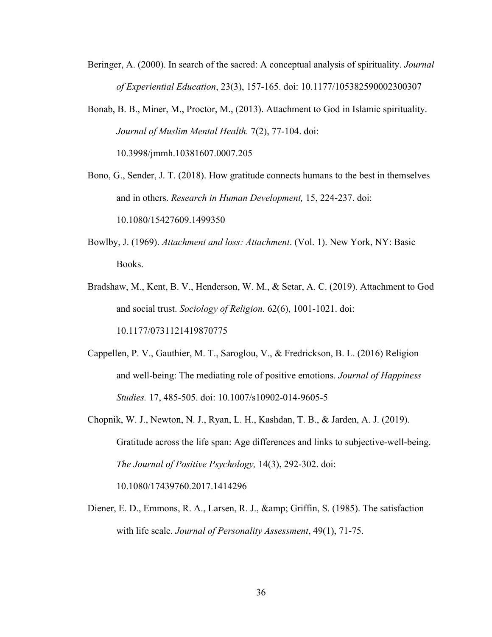- Beringer, A. (2000). In search of the sacred: A conceptual analysis of spirituality. *Journal of Experiential Education*, 23(3), 157-165. doi: 10.1177/105382590002300307
- Bonab, B. B., Miner, M., Proctor, M., (2013). Attachment to God in Islamic spirituality. *Journal of Muslim Mental Health.* 7(2), 77-104. doi: 10.3998/jmmh.10381607.0007.205
- Bono, G., Sender, J. T. (2018). How gratitude connects humans to the best in themselves and in others. *Research in Human Development,* 15, 224-237. doi: 10.1080/15427609.1499350
- Bowlby, J. (1969). *Attachment and loss: Attachment*. (Vol. 1). New York, NY: Basic Books.
- Bradshaw, M., Kent, B. V., Henderson, W. M., & Setar, A. C. (2019). Attachment to God and social trust. *Sociology of Religion.* 62(6), 1001-1021. doi: 10.1177/0731121419870775
- Cappellen, P. V., Gauthier, M. T., Saroglou, V., & Fredrickson, B. L. (2016) Religion and well-being: The mediating role of positive emotions. *Journal of Happiness Studies.* 17, 485-505. doi: 10.1007/s10902-014-9605-5
- Chopnik, W. J., Newton, N. J., Ryan, L. H., Kashdan, T. B., & Jarden, A. J. (2019). Gratitude across the life span: Age differences and links to subjective-well-being. *The Journal of Positive Psychology,* 14(3), 292-302. doi: 10.1080/17439760.2017.1414296
- Diener, E. D., Emmons, R. A., Larsen, R. J., & amp; Griffin, S. (1985). The satisfaction with life scale. *Journal of Personality Assessment*, 49(1), 71-75.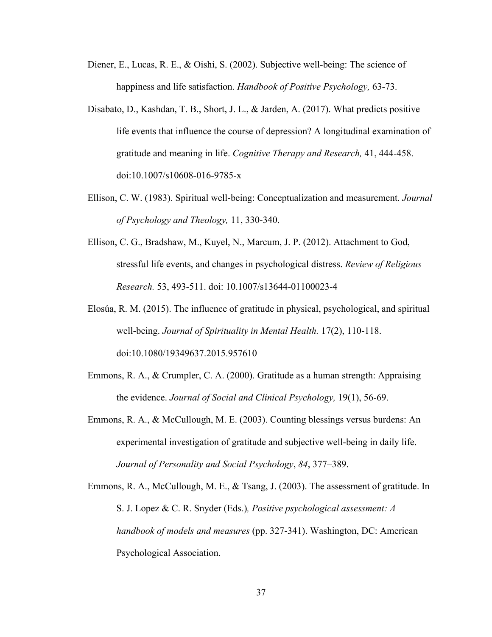- Diener, E., Lucas, R. E., & Oishi, S. (2002). Subjective well-being: The science of happiness and life satisfaction. *Handbook of Positive Psychology,* 63-73.
- Disabato, D., Kashdan, T. B., Short, J. L., & Jarden, A. (2017). What predicts positive life events that influence the course of depression? A longitudinal examination of gratitude and meaning in life. *Cognitive Therapy and Research,* 41, 444-458. doi:10.1007/s10608-016-9785-x
- Ellison, C. W. (1983). Spiritual well-being: Conceptualization and measurement. *Journal of Psychology and Theology,* 11, 330-340.
- Ellison, C. G., Bradshaw, M., Kuyel, N., Marcum, J. P. (2012). Attachment to God, stressful life events, and changes in psychological distress. *Review of Religious Research.* 53, 493-511. doi: 10.1007/s13644-01100023-4
- Elosúa, R. M. (2015). The influence of gratitude in physical, psychological, and spiritual well-being. *Journal of Spirituality in Mental Health.* 17(2), 110-118. doi:10.1080/19349637.2015.957610
- Emmons, R. A., & Crumpler, C. A. (2000). Gratitude as a human strength: Appraising the evidence. *Journal of Social and Clinical Psychology,* 19(1), 56-69.
- Emmons, R. A., & McCullough, M. E. (2003). Counting blessings versus burdens: An experimental investigation of gratitude and subjective well-being in daily life. *Journal of Personality and Social Psychology*, *84*, 377–389.
- Emmons, R. A., McCullough, M. E., & Tsang, J. (2003). The assessment of gratitude. In S. J. Lopez & C. R. Snyder (Eds.)*, Positive psychological assessment: A handbook of models and measures* (pp. 327-341). Washington, DC: American Psychological Association.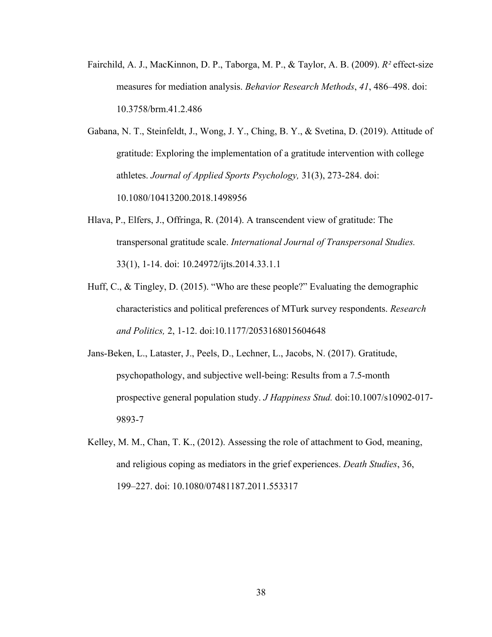- Fairchild, A. J., MacKinnon, D. P., Taborga, M. P., & Taylor, A. B. (2009). *R²* effect-size measures for mediation analysis. *Behavior Research Methods*, *41*, 486–498. doi: 10.3758/brm.41.2.486
- Gabana, N. T., Steinfeldt, J., Wong, J. Y., Ching, B. Y., & Svetina, D. (2019). Attitude of gratitude: Exploring the implementation of a gratitude intervention with college athletes. *Journal of Applied Sports Psychology,* 31(3), 273-284. doi: 10.1080/10413200.2018.1498956
- Hlava, P., Elfers, J., Offringa, R. (2014). A transcendent view of gratitude: The transpersonal gratitude scale. *International Journal of Transpersonal Studies.* 33(1), 1-14. doi: 10.24972/ijts.2014.33.1.1
- Huff, C., & Tingley, D. (2015). "Who are these people?" Evaluating the demographic characteristics and political preferences of MTurk survey respondents. *Research and Politics,* 2, 1-12. doi:10.1177/2053168015604648
- Jans-Beken, L., Lataster, J., Peels, D., Lechner, L., Jacobs, N. (2017). Gratitude, psychopathology, and subjective well-being: Results from a 7.5-month prospective general population study. *J Happiness Stud.* doi:10.1007/s10902-017- 9893-7
- Kelley, M. M., Chan, T. K., (2012). Assessing the role of attachment to God, meaning, and religious coping as mediators in the grief experiences. *Death Studies*, 36, 199–227. doi: 10.1080/07481187.2011.553317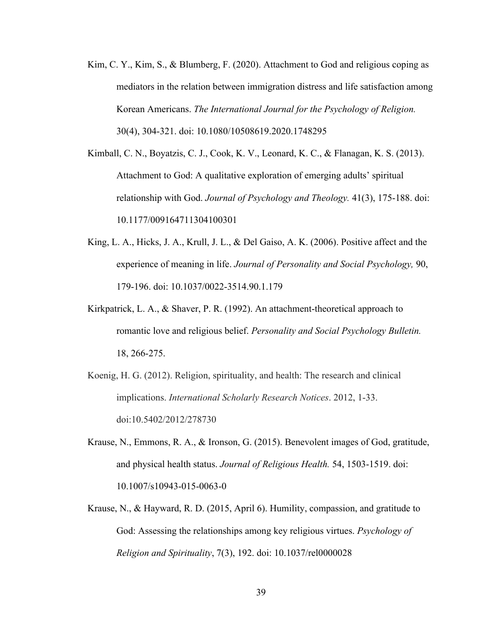- Kim, C. Y., Kim, S., & Blumberg, F. (2020). Attachment to God and religious coping as mediators in the relation between immigration distress and life satisfaction among Korean Americans. *The International Journal for the Psychology of Religion.*  30(4), 304-321. doi: 10.1080/10508619.2020.1748295
- Kimball, C. N., Boyatzis, C. J., Cook, K. V., Leonard, K. C., & Flanagan, K. S. (2013). Attachment to God: A qualitative exploration of emerging adults' spiritual relationship with God. *Journal of Psychology and Theology.* 41(3), 175-188. doi: 10.1177/009164711304100301
- King, L. A., Hicks, J. A., Krull, J. L., & Del Gaiso, A. K. (2006). Positive affect and the experience of meaning in life. *Journal of Personality and Social Psychology,* 90, 179-196. doi: 10.1037/0022-3514.90.1.179
- Kirkpatrick, L. A., & Shaver, P. R. (1992). An attachment-theoretical approach to romantic love and religious belief. *Personality and Social Psychology Bulletin.*  18, 266-275.
- Koenig, H. G. (2012). Religion, spirituality, and health: The research and clinical implications. *International Scholarly Research Notices*. 2012, 1-33. doi:10.5402/2012/278730
- Krause, N., Emmons, R. A., & Ironson, G. (2015). Benevolent images of God, gratitude, and physical health status. *Journal of Religious Health.* 54, 1503-1519. doi: 10.1007/s10943-015-0063-0
- Krause, N., & Hayward, R. D. (2015, April 6). Humility, compassion, and gratitude to God: Assessing the relationships among key religious virtues. *Psychology of Religion and Spirituality*, 7(3), 192. doi: 10.1037/rel0000028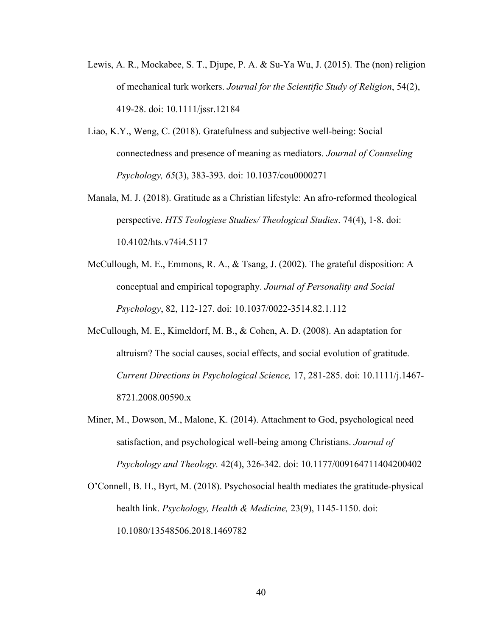- Lewis, A. R., Mockabee, S. T., Djupe, P. A. & Su-Ya Wu, J. (2015). The (non) religion of mechanical turk workers. *Journal for the Scientific Study of Religion*, 54(2), 419-28. doi: 10.1111/jssr.12184
- Liao, K.Y., Weng, C. (2018). Gratefulness and subjective well-being: Social connectedness and presence of meaning as mediators. *Journal of Counseling Psychology, 65*(3), 383-393. doi: 10.1037/cou0000271
- Manala, M. J. (2018). Gratitude as a Christian lifestyle: An afro-reformed theological perspective. *HTS Teologiese Studies/ Theological Studies*. 74(4), 1-8. doi: 10.4102/hts.v74i4.5117
- McCullough, M. E., Emmons, R. A., & Tsang, J. (2002). The grateful disposition: A conceptual and empirical topography. *Journal of Personality and Social Psychology*, 82, 112-127. doi: 10.1037/0022-3514.82.1.112
- McCullough, M. E., Kimeldorf, M. B., & Cohen, A. D. (2008). An adaptation for altruism? The social causes, social effects, and social evolution of gratitude. *Current Directions in Psychological Science,* 17, 281-285. doi: 10.1111/j.1467- 8721.2008.00590.x
- Miner, M., Dowson, M., Malone, K. (2014). Attachment to God, psychological need satisfaction, and psychological well-being among Christians. *Journal of Psychology and Theology.* 42(4), 326-342. doi: 10.1177/009164711404200402
- O'Connell, B. H., Byrt, M. (2018). Psychosocial health mediates the gratitude-physical health link. *Psychology, Health & Medicine,* 23(9), 1145-1150. doi: 10.1080/13548506.2018.1469782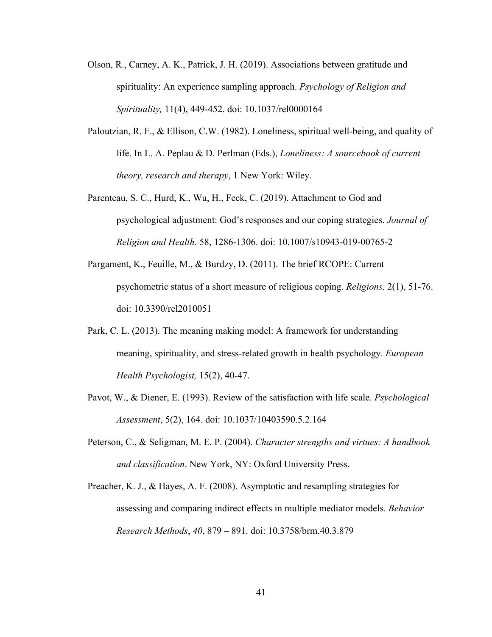- Olson, R., Carney, A. K., Patrick, J. H. (2019). Associations between gratitude and spirituality: An experience sampling approach. *Psychology of Religion and Spirituality,* 11(4), 449-452. doi: 10.1037/rel0000164
- Paloutzian, R. F., & Ellison, C.W. (1982). Loneliness, spiritual well-being, and quality of life. In L. A. Peplau & D. Perlman (Eds.), *Loneliness: A sourcebook of current theory, research and therapy*, 1 New York: Wiley.
- Parenteau, S. C., Hurd, K., Wu, H., Feck, C. (2019). Attachment to God and psychological adjustment: God's responses and our coping strategies. *Journal of Religion and Health.* 58, 1286-1306. doi: 10.1007/s10943-019-00765-2
- Pargament, K., Feuille, M., & Burdzy, D. (2011). The brief RCOPE: Current psychometric status of a short measure of religious coping. *Religions,* 2(1), 51-76. doi: 10.3390/rel2010051
- Park, C. L. (2013). The meaning making model: A framework for understanding meaning, spirituality, and stress-related growth in health psychology. *European Health Psychologist,* 15(2), 40-47.
- Pavot, W., & Diener, E. (1993). Review of the satisfaction with life scale. *Psychological Assessment*, 5(2), 164. doi: 10.1037/10403590.5.2.164
- Peterson, C., & Seligman, M. E. P. (2004). *Character strengths and virtues: A handbook and classification*. New York, NY: Oxford University Press.
- Preacher, K. J., & Hayes, A. F. (2008). Asymptotic and resampling strategies for assessing and comparing indirect effects in multiple mediator models. *Behavior Research Methods*, *40*, 879 – 891. doi: 10.3758/brm.40.3.879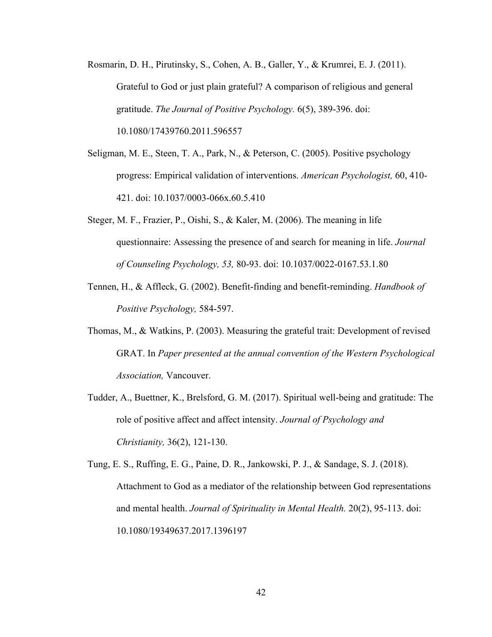- Rosmarin, D. H., Pirutinsky, S., Cohen, A. B., Galler, Y., & Krumrei, E. J. (2011). Grateful to God or just plain grateful? A comparison of religious and general gratitude. *The Journal of Positive Psychology.* 6(5), 389-396. doi: 10.1080/17439760.2011.596557
- Seligman, M. E., Steen, T. A., Park, N., & Peterson, C. (2005). Positive psychology progress: Empirical validation of interventions. *American Psychologist,* 60, 410- 421. doi: 10.1037/0003-066x.60.5.410
- Steger, M. F., Frazier, P., Oishi, S., & Kaler, M. (2006). The meaning in life questionnaire: Assessing the presence of and search for meaning in life. *Journal of Counseling Psychology, 53,* 80-93. doi: 10.1037/0022-0167.53.1.80
- Tennen, H., & Affleck, G. (2002). Benefit-finding and benefit-reminding. *Handbook of Positive Psychology,* 584-597.
- Thomas, M., & Watkins, P. (2003). Measuring the grateful trait: Development of revised GRAT. In *Paper presented at the annual convention of the Western Psychological Association,* Vancouver.
- Tudder, A., Buettner, K., Brelsford, G. M. (2017). Spiritual well-being and gratitude: The role of positive affect and affect intensity. *Journal of Psychology and Christianity,* 36(2), 121-130.

Tung, E. S., Ruffing, E. G., Paine, D. R., Jankowski, P. J., & Sandage, S. J. (2018). Attachment to God as a mediator of the relationship between God representations and mental health. *Journal of Spirituality in Mental Health.* 20(2), 95-113. doi: 10.1080/19349637.2017.1396197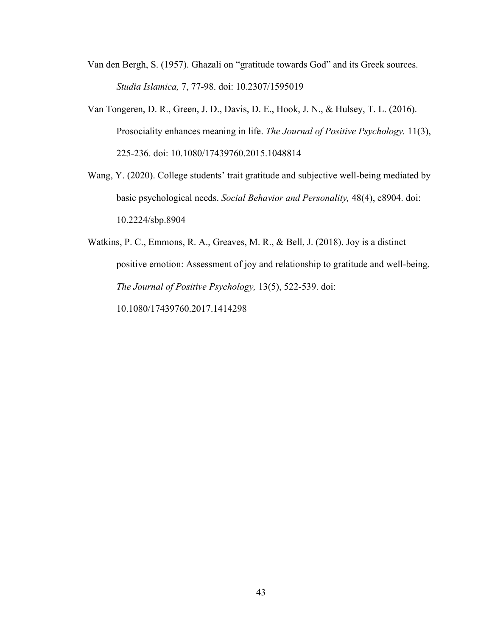- Van den Bergh, S. (1957). Ghazali on "gratitude towards God" and its Greek sources. *Studia Islamica,* 7, 77-98. doi: 10.2307/1595019
- Van Tongeren, D. R., Green, J. D., Davis, D. E., Hook, J. N., & Hulsey, T. L. (2016). Prosociality enhances meaning in life. *The Journal of Positive Psychology.* 11(3), 225-236. doi: 10.1080/17439760.2015.1048814
- Wang, Y. (2020). College students' trait gratitude and subjective well-being mediated by basic psychological needs. *Social Behavior and Personality,* 48(4), e8904. doi: 10.2224/sbp.8904

Watkins, P. C., Emmons, R. A., Greaves, M. R., & Bell, J. (2018). Joy is a distinct positive emotion: Assessment of joy and relationship to gratitude and well-being. *The Journal of Positive Psychology,* 13(5), 522-539. doi: 10.1080/17439760.2017.1414298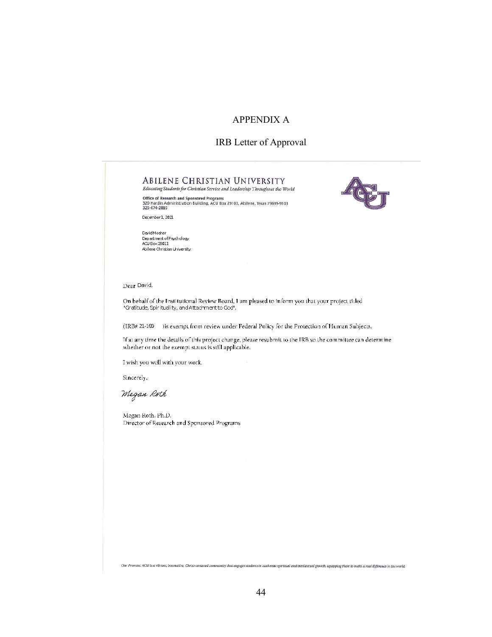# APPENDIX A

# IRB Letter of Approval



Sincerely,

Megan Roth

Megan Roth, Ph.D. Director of Research and Sponsored Programs

Our Promise: ACU is a vibrant, innovative, Christ-centered community that engages students in authentic spiritual and intellectual growth, equipping them to make a real difference in the world.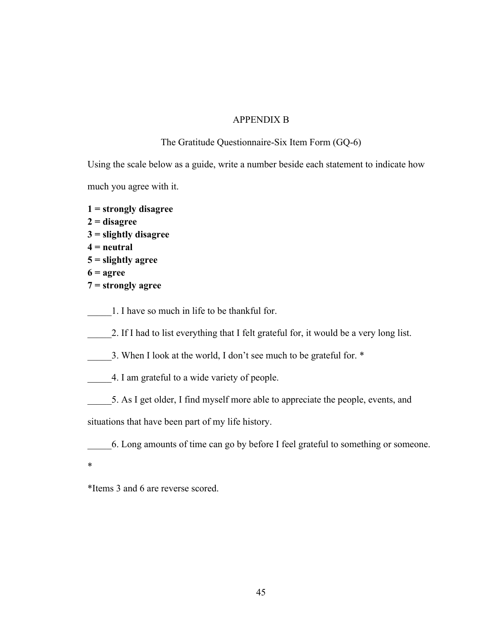# APPENDIX B

# The Gratitude Questionnaire-Six Item Form (GQ-6)

Using the scale below as a guide, write a number beside each statement to indicate how much you agree with it.

**1 = strongly disagree 2 = disagree 3 = slightly disagree 4 = neutral 5 = slightly agree 6 = agree**

- **7 = strongly agree**
- 1. I have so much in life to be thankful for.
- 2. If I had to list everything that I felt grateful for, it would be a very long list.
- 3. When I look at the world, I don't see much to be grateful for. \*
- 4. I am grateful to a wide variety of people.
- 5. As I get older, I find myself more able to appreciate the people, events, and

situations that have been part of my life history.

\_\_\_\_\_6. Long amounts of time can go by before I feel grateful to something or someone.

\*

\*Items 3 and 6 are reverse scored.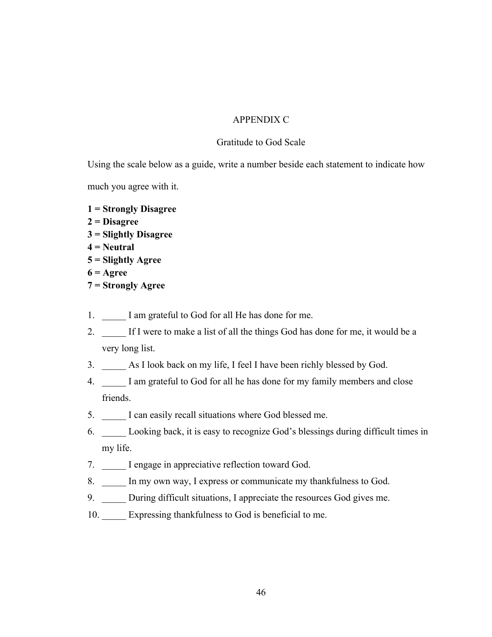# APPENDIX C

## Gratitude to God Scale

Using the scale below as a guide, write a number beside each statement to indicate how

much you agree with it.

- **1 = Strongly Disagree**
- **2 = Disagree**
- **3 = Slightly Disagree**
- **4 = Neutral**
- **5 = Slightly Agree**
- **6 = Agree**
- **7 = Strongly Agree**
- 1. I am grateful to God for all He has done for me.
- 2. If I were to make a list of all the things God has done for me, it would be a very long list.
- 3. \_\_\_\_\_ As I look back on my life, I feel I have been richly blessed by God.
- 4. I am grateful to God for all he has done for my family members and close friends.
- 5. \_\_\_\_\_ I can easily recall situations where God blessed me.
- 6. \_\_\_\_\_ Looking back, it is easy to recognize God's blessings during difficult times in my life.
- 7. I engage in appreciative reflection toward God.
- 8. \_\_\_\_\_ In my own way, I express or communicate my thankfulness to God.
- 9. During difficult situations, I appreciate the resources God gives me.
- 10. Expressing thankfulness to God is beneficial to me.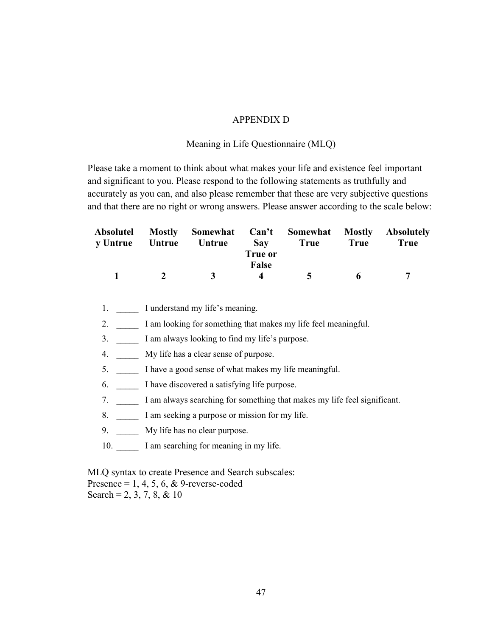# APPENDIX D

## Meaning in Life Questionnaire (MLQ)

Please take a moment to think about what makes your life and existence feel important and significant to you. Please respond to the following statements as truthfully and accurately as you can, and also please remember that these are very subjective questions and that there are no right or wrong answers. Please answer according to the scale below:

| y Untrue Untrue |          | Absolutel Mostly Somewhat Can't Somewhat Mostly Absolutely<br><b>Untrue</b> | <b>Sav</b><br>True or | True   | 'True | True |
|-----------------|----------|-----------------------------------------------------------------------------|-----------------------|--------|-------|------|
| $\mathbf{1}$    | $\gamma$ | $\mathbf{A}$                                                                | False<br>$\Delta$     | $\sim$ | 6     |      |

1. \_\_\_\_\_\_ I understand my life's meaning.

2. I am looking for something that makes my life feel meaningful.

3. I am always looking to find my life's purpose.

4. \_\_\_\_\_ My life has a clear sense of purpose.

5. I have a good sense of what makes my life meaningful.

6. \_\_\_\_\_ I have discovered a satisfying life purpose.

7. I am always searching for something that makes my life feel significant.

8. I am seeking a purpose or mission for my life.

9. My life has no clear purpose.

10.  $\Box$  I am searching for meaning in my life.

MLQ syntax to create Presence and Search subscales: Presence =  $1, 4, 5, 6, \&$  9-reverse-coded Search = 2, 3, 7, 8, & 10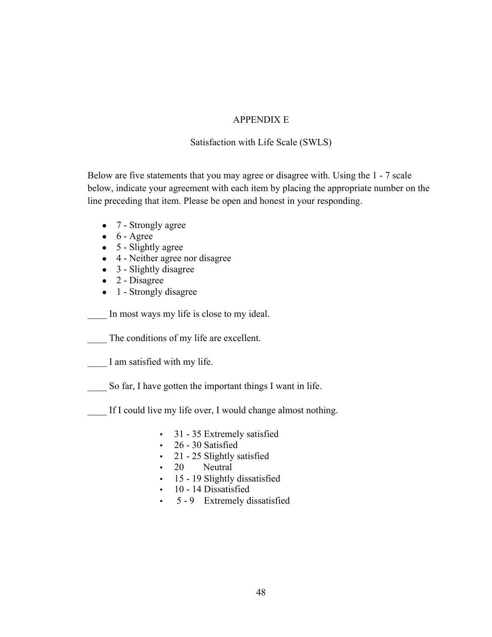# APPENDIX E

Satisfaction with Life Scale (SWLS)

Below are five statements that you may agree or disagree with. Using the 1 - 7 scale below, indicate your agreement with each item by placing the appropriate number on the line preceding that item. Please be open and honest in your responding.

- 7 Strongly agree
- $\bullet$  6 Agree
- $\bullet$  5 Slightly agree
- 4 Neither agree nor disagree
- $\bullet$  3 Slightly disagree
- $\bullet$  2 Disagree
- 1 Strongly disagree

In most ways my life is close to my ideal.

The conditions of my life are excellent.

I am satisfied with my life.

So far, I have gotten the important things I want in life.

If I could live my life over, I would change almost nothing.

- **•** 31 35 Extremely satisfied
- 26 30 Satisfied
- 21 25 Slightly satisfied
- 20 Neutral
- 15 19 Slightly dissatisfied
- 10 14 Dissatisfied
- 5 9 Extremely dissatisfied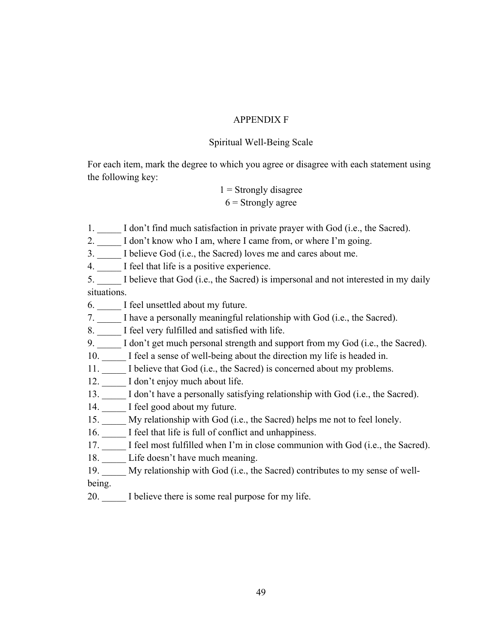# APPENDIX F

# Spiritual Well-Being Scale

For each item, mark the degree to which you agree or disagree with each statement using the following key:

> $1$  = Strongly disagree  $6$  = Strongly agree

1. I don't find much satisfaction in private prayer with God (i.e., the Sacred).

2. \_\_\_\_\_ I don't know who I am, where I came from, or where I'm going.

3. \_\_\_\_\_ I believe God (i.e., the Sacred) loves me and cares about me.

4. \_\_\_\_\_ I feel that life is a positive experience.

5. \_\_\_\_\_ I believe that God (i.e., the Sacred) is impersonal and not interested in my daily situations.

6. I feel unsettled about my future.

7. \_\_\_\_\_ I have a personally meaningful relationship with God (i.e., the Sacred).

8. \_\_\_\_\_ I feel very fulfilled and satisfied with life.

9. \_\_\_\_\_ I don't get much personal strength and support from my God (i.e., the Sacred).

10. I feel a sense of well-being about the direction my life is headed in.

11. I believe that God (i.e., the Sacred) is concerned about my problems.

12. I don't enjoy much about life.

- 13. \_\_\_\_\_ I don't have a personally satisfying relationship with God (i.e., the Sacred).
- 14. I feel good about my future.
- 15. \_\_\_\_\_ My relationship with God (i.e., the Sacred) helps me not to feel lonely.
- 16. \_\_\_\_\_ I feel that life is full of conflict and unhappiness.
- 17. I feel most fulfilled when I'm in close communion with God (i.e., the Sacred).
- 18. Life doesn't have much meaning.
- 19. My relationship with God (i.e., the Sacred) contributes to my sense of well-
- being.
- 20. I believe there is some real purpose for my life.